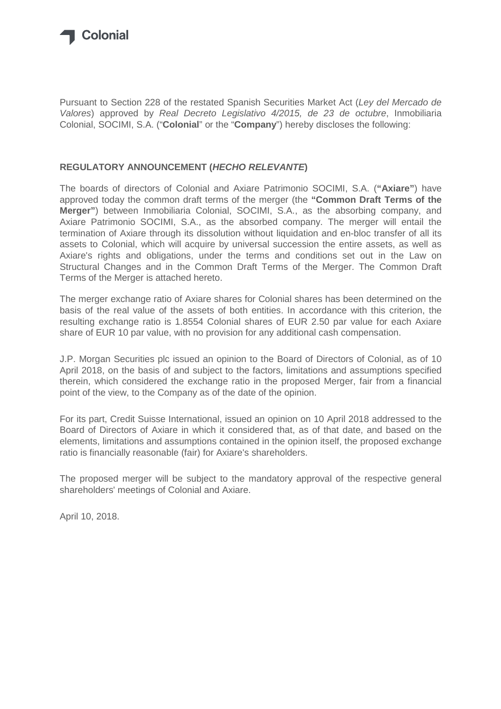

Pursuant to Section 228 of the restated Spanish Securities Market Act (Ley del Mercado de Valores) approved by Real Decreto Legislativo 4/2015, de 23 de octubre, Inmobiliaria Colonial, SOCIMI, S.A. ("**Colonial**" or the "**Company**") hereby discloses the following:

# **REGULATORY ANNOUNCEMENT (HECHO RELEVANTE)**

The boards of directors of Colonial and Axiare Patrimonio SOCIMI, S.A. (**"Axiare"**) have approved today the common draft terms of the merger (the **"Common Draft Terms of the Merger"**) between Inmobiliaria Colonial, SOCIMI, S.A., as the absorbing company, and Axiare Patrimonio SOCIMI, S.A., as the absorbed company. The merger will entail the termination of Axiare through its dissolution without liquidation and en-bloc transfer of all its assets to Colonial, which will acquire by universal succession the entire assets, as well as Axiare's rights and obligations, under the terms and conditions set out in the Law on Structural Changes and in the Common Draft Terms of the Merger. The Common Draft Terms of the Merger is attached hereto.

The merger exchange ratio of Axiare shares for Colonial shares has been determined on the basis of the real value of the assets of both entities. In accordance with this criterion, the resulting exchange ratio is 1.8554 Colonial shares of EUR 2.50 par value for each Axiare share of EUR 10 par value, with no provision for any additional cash compensation.

J.P. Morgan Securities plc issued an opinion to the Board of Directors of Colonial, as of 10 April 2018, on the basis of and subject to the factors, limitations and assumptions specified therein, which considered the exchange ratio in the proposed Merger, fair from a financial point of the view, to the Company as of the date of the opinion.

For its part, Credit Suisse International, issued an opinion on 10 April 2018 addressed to the Board of Directors of Axiare in which it considered that, as of that date, and based on the elements, limitations and assumptions contained in the opinion itself, the proposed exchange ratio is financially reasonable (fair) for Axiare's shareholders.

The proposed merger will be subject to the mandatory approval of the respective general shareholders' meetings of Colonial and Axiare.

April 10, 2018.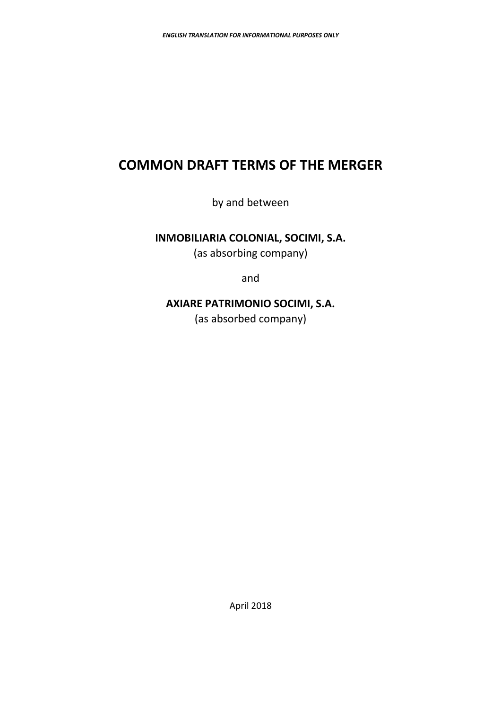# **COMMON DRAFT TERMS OF THE MERGER**

by and between

# **INMOBILIARIA COLONIAL, SOCIMI, S.A.**

(as absorbing company)

and

# **AXIARE PATRIMONIO SOCIMI, S.A.**

(as absorbed company)

April 2018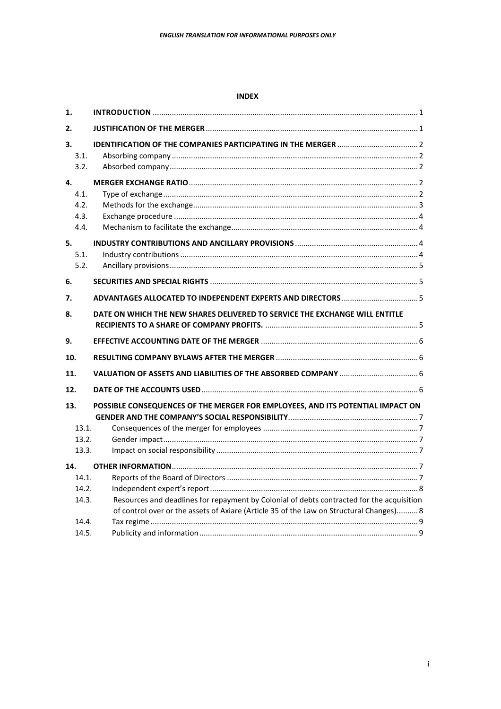#### **INDEX**

| 1.                 |                                                                                           |  |
|--------------------|-------------------------------------------------------------------------------------------|--|
| 2.                 |                                                                                           |  |
| 3.<br>3.1.<br>3.2. |                                                                                           |  |
| 4.                 |                                                                                           |  |
| 4.1.               |                                                                                           |  |
| 4.2.<br>4.3.       |                                                                                           |  |
| 4.4.               |                                                                                           |  |
| 5.                 |                                                                                           |  |
| 5.1.               |                                                                                           |  |
| 5.2.               |                                                                                           |  |
| 6.                 |                                                                                           |  |
| 7.                 |                                                                                           |  |
| 8.                 | DATE ON WHICH THE NEW SHARES DELIVERED TO SERVICE THE EXCHANGE WILL ENTITLE               |  |
| 9.                 |                                                                                           |  |
| 10.                |                                                                                           |  |
| 11.                |                                                                                           |  |
| 12.                |                                                                                           |  |
| 13.                | POSSIBLE CONSEQUENCES OF THE MERGER FOR EMPLOYEES, AND ITS POTENTIAL IMPACT ON            |  |
| 13.1.              |                                                                                           |  |
| 13.2.              |                                                                                           |  |
| 13.3.              |                                                                                           |  |
| 14.                |                                                                                           |  |
| 14.1.              |                                                                                           |  |
| 14.2.              |                                                                                           |  |
| 14.3.              | Resources and deadlines for repayment by Colonial of debts contracted for the acquisition |  |
|                    | of control over or the assets of Axiare (Article 35 of the Law on Structural Changes) 8   |  |
| 14.4.              |                                                                                           |  |
| 14.5.              |                                                                                           |  |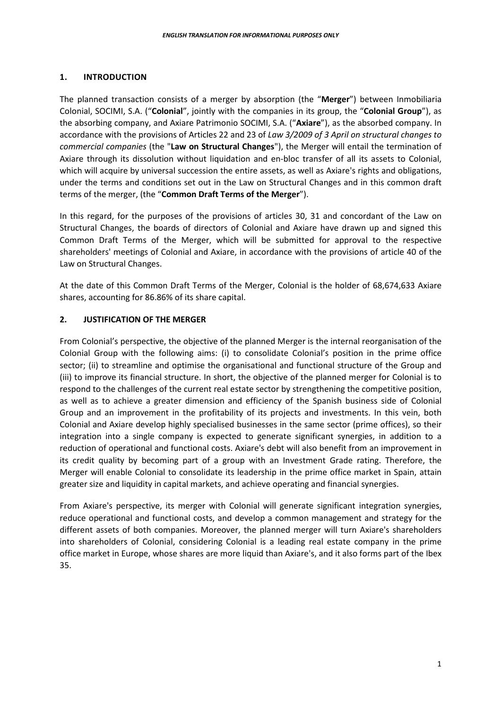# **1. INTRODUCTION**

The planned transaction consists of a merger by absorption (the "**Merger**") between Inmobiliaria Colonial, SOCIMI, S.A. ("**Colonial**", jointly with the companies in its group, the "**Colonial Group**"), as the absorbing company, and Axiare Patrimonio SOCIMI, S.A. ("**Axiare**"), as the absorbed company. In accordance with the provisions of Articles 22 and 23 of *Law 3/2009 of 3 April on structural changes to commercial companies* (the "**Law on Structural Changes**"), the Merger will entail the termination of Axiare through its dissolution without liquidation and en-bloc transfer of all its assets to Colonial, which will acquire by universal succession the entire assets, as well as Axiare's rights and obligations, under the terms and conditions set out in the Law on Structural Changes and in this common draft terms of the merger, (the "**Common Draft Terms of the Merger**").

In this regard, for the purposes of the provisions of articles 30, 31 and concordant of the Law on Structural Changes, the boards of directors of Colonial and Axiare have drawn up and signed this Common Draft Terms of the Merger, which will be submitted for approval to the respective shareholders' meetings of Colonial and Axiare, in accordance with the provisions of article 40 of the Law on Structural Changes.

At the date of this Common Draft Terms of the Merger, Colonial is the holder of 68,674,633 Axiare shares, accounting for 86.86% of its share capital.

# **2. JUSTIFICATION OF THE MERGER**

From Colonial's perspective, the objective of the planned Merger is the internal reorganisation of the Colonial Group with the following aims: (i) to consolidate Colonial's position in the prime office sector; (ii) to streamline and optimise the organisational and functional structure of the Group and (iii) to improve its financial structure. In short, the objective of the planned merger for Colonial is to respond to the challenges of the current real estate sector by strengthening the competitive position, as well as to achieve a greater dimension and efficiency of the Spanish business side of Colonial Group and an improvement in the profitability of its projects and investments. In this vein, both Colonial and Axiare develop highly specialised businesses in the same sector (prime offices), so their integration into a single company is expected to generate significant synergies, in addition to a reduction of operational and functional costs. Axiare's debt will also benefit from an improvement in its credit quality by becoming part of a group with an Investment Grade rating. Therefore, the Merger will enable Colonial to consolidate its leadership in the prime office market in Spain, attain greater size and liquidity in capital markets, and achieve operating and financial synergies.

From Axiare's perspective, its merger with Colonial will generate significant integration synergies, reduce operational and functional costs, and develop a common management and strategy for the different assets of both companies. Moreover, the planned merger will turn Axiare's shareholders into shareholders of Colonial, considering Colonial is a leading real estate company in the prime office market in Europe, whose shares are more liquid than Axiare's, and it also forms part of the Ibex 35.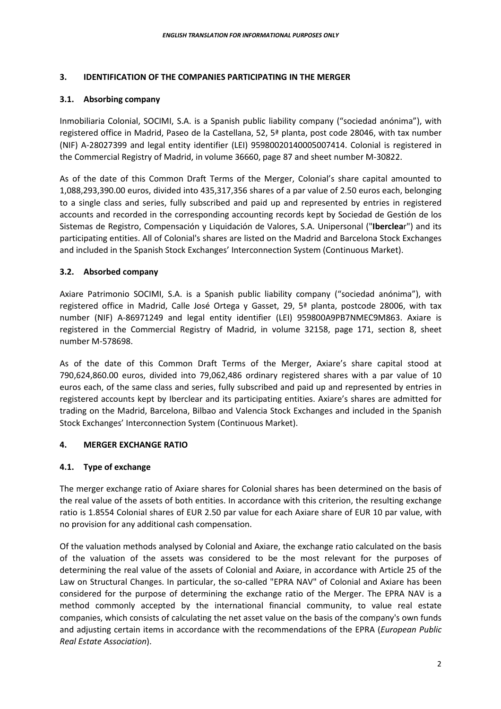#### **3. IDENTIFICATION OF THE COMPANIES PARTICIPATING IN THE MERGER**

# **3.1. Absorbing company**

Inmobiliaria Colonial, SOCIMI, S.A. is a Spanish public liability company ("sociedad anónima"), with registered office in Madrid, Paseo de la Castellana, 52, 5ª planta, post code 28046, with tax number (NIF) A-28027399 and legal entity identifier (LEI) 95980020140005007414. Colonial is registered in the Commercial Registry of Madrid, in volume 36660, page 87 and sheet number M-30822.

As of the date of this Common Draft Terms of the Merger, Colonial's share capital amounted to 1,088,293,390.00 euros, divided into 435,317,356 shares of a par value of 2.50 euros each, belonging to a single class and series, fully subscribed and paid up and represented by entries in registered accounts and recorded in the corresponding accounting records kept by Sociedad de Gestión de los Sistemas de Registro, Compensación y Liquidación de Valores, S.A. Unipersonal ("**Iberclea**r") and its participating entities. All of Colonial's shares are listed on the Madrid and Barcelona Stock Exchanges and included in the Spanish Stock Exchanges' Interconnection System (Continuous Market).

# **3.2. Absorbed company**

Axiare Patrimonio SOCIMI, S.A. is a Spanish public liability company ("sociedad anónima"), with registered office in Madrid, Calle José Ortega y Gasset, 29, 5ª planta, postcode 28006, with tax number (NIF) A-86971249 and legal entity identifier (LEI) 959800A9PB7NMEC9M863. Axiare is registered in the Commercial Registry of Madrid, in volume 32158, page 171, section 8, sheet number M-578698.

As of the date of this Common Draft Terms of the Merger, Axiare's share capital stood at 790,624,860.00 euros, divided into 79,062,486 ordinary registered shares with a par value of 10 euros each, of the same class and series, fully subscribed and paid up and represented by entries in registered accounts kept by Iberclear and its participating entities. Axiare's shares are admitted for trading on the Madrid, Barcelona, Bilbao and Valencia Stock Exchanges and included in the Spanish Stock Exchanges' Interconnection System (Continuous Market).

#### **4. MERGER EXCHANGE RATIO**

# **4.1. Type of exchange**

The merger exchange ratio of Axiare shares for Colonial shares has been determined on the basis of the real value of the assets of both entities. In accordance with this criterion, the resulting exchange ratio is 1.8554 Colonial shares of EUR 2.50 par value for each Axiare share of EUR 10 par value, with no provision for any additional cash compensation.

Of the valuation methods analysed by Colonial and Axiare, the exchange ratio calculated on the basis of the valuation of the assets was considered to be the most relevant for the purposes of determining the real value of the assets of Colonial and Axiare, in accordance with Article 25 of the Law on Structural Changes. In particular, the so-called "EPRA NAV" of Colonial and Axiare has been considered for the purpose of determining the exchange ratio of the Merger. The EPRA NAV is a method commonly accepted by the international financial community, to value real estate companies, which consists of calculating the net asset value on the basis of the company's own funds and adjusting certain items in accordance with the recommendations of the EPRA (*European Public Real Estate Association*).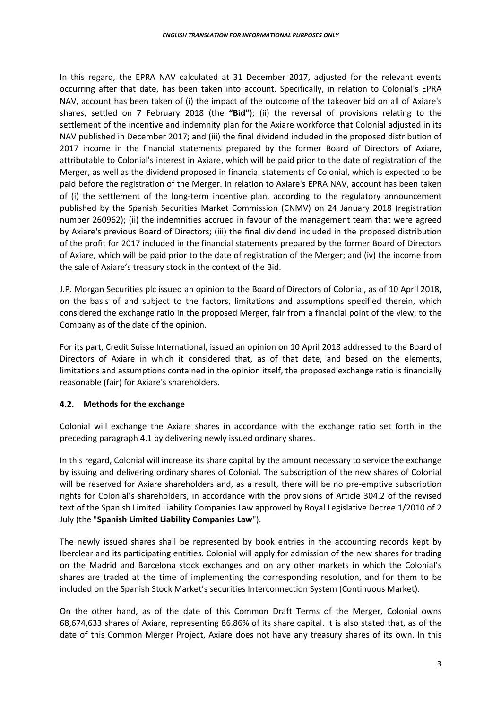In this regard, the EPRA NAV calculated at 31 December 2017, adjusted for the relevant events occurring after that date, has been taken into account. Specifically, in relation to Colonial's EPRA NAV, account has been taken of (i) the impact of the outcome of the takeover bid on all of Axiare's shares, settled on 7 February 2018 (the **"Bid"**); (ii) the reversal of provisions relating to the settlement of the incentive and indemnity plan for the Axiare workforce that Colonial adjusted in its NAV published in December 2017; and (iii) the final dividend included in the proposed distribution of 2017 income in the financial statements prepared by the former Board of Directors of Axiare, attributable to Colonial's interest in Axiare, which will be paid prior to the date of registration of the Merger, as well as the dividend proposed in financial statements of Colonial, which is expected to be paid before the registration of the Merger. In relation to Axiare's EPRA NAV, account has been taken of (i) the settlement of the long-term incentive plan, according to the regulatory announcement published by the Spanish Securities Market Commission (CNMV) on 24 January 2018 (registration number 260962); (ii) the indemnities accrued in favour of the management team that were agreed by Axiare's previous Board of Directors; (iii) the final dividend included in the proposed distribution of the profit for 2017 included in the financial statements prepared by the former Board of Directors of Axiare, which will be paid prior to the date of registration of the Merger; and (iv) the income from the sale of Axiare's treasury stock in the context of the Bid.

J.P. Morgan Securities plc issued an opinion to the Board of Directors of Colonial, as of 10 April 2018, on the basis of and subject to the factors, limitations and assumptions specified therein, which considered the exchange ratio in the proposed Merger, fair from a financial point of the view, to the Company as of the date of the opinion.

For its part, Credit Suisse International, issued an opinion on 10 April 2018 addressed to the Board of Directors of Axiare in which it considered that, as of that date, and based on the elements, limitations and assumptions contained in the opinion itself, the proposed exchange ratio is financially reasonable (fair) for Axiare's shareholders.

# **4.2. Methods for the exchange**

Colonial will exchange the Axiare shares in accordance with the exchange ratio set forth in the preceding paragraph 4.1 by delivering newly issued ordinary shares.

In this regard, Colonial will increase its share capital by the amount necessary to service the exchange by issuing and delivering ordinary shares of Colonial. The subscription of the new shares of Colonial will be reserved for Axiare shareholders and, as a result, there will be no pre-emptive subscription rights for Colonial's shareholders, in accordance with the provisions of Article 304.2 of the revised text of the Spanish Limited Liability Companies Law approved by Royal Legislative Decree 1/2010 of 2 July (the "**Spanish Limited Liability Companies Law**").

The newly issued shares shall be represented by book entries in the accounting records kept by Iberclear and its participating entities. Colonial will apply for admission of the new shares for trading on the Madrid and Barcelona stock exchanges and on any other markets in which the Colonial's shares are traded at the time of implementing the corresponding resolution, and for them to be included on the Spanish Stock Market's securities Interconnection System (Continuous Market).

On the other hand, as of the date of this Common Draft Terms of the Merger, Colonial owns 68,674,633 shares of Axiare, representing 86.86% of its share capital. It is also stated that, as of the date of this Common Merger Project, Axiare does not have any treasury shares of its own. In this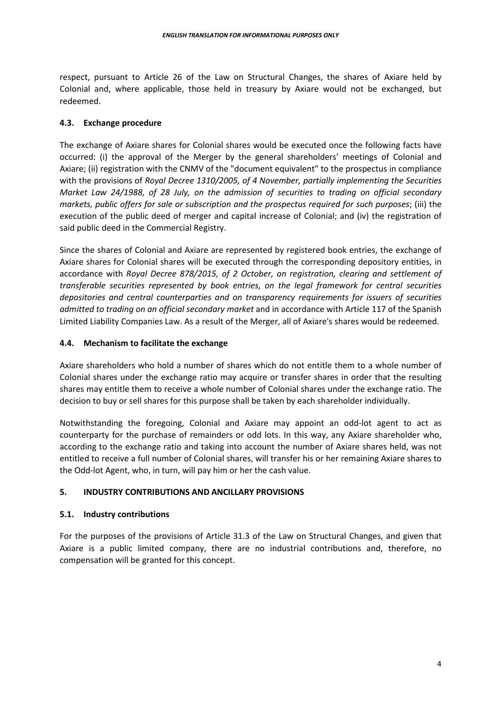respect, pursuant to Article 26 of the Law on Structural Changes, the shares of Axiare held by Colonial and, where applicable, those held in treasury by Axiare would not be exchanged, but redeemed.

## **4.3. Exchange procedure**

The exchange of Axiare shares for Colonial shares would be executed once the following facts have occurred: (i) the approval of the Merger by the general shareholders' meetings of Colonial and Axiare; (ii) registration with the CNMV of the "document equivalent" to the prospectus in compliance with the provisions of *Royal Decree 1310/2005, of 4 November, partially implementing the Securities Market Law 24/1988, of 28 July, on the admission of securities to trading on official secondary markets, public offers for sale or subscription and the prospectus required for such purposes*; (iii) the execution of the public deed of merger and capital increase of Colonial; and (iv) the registration of said public deed in the Commercial Registry.

Since the shares of Colonial and Axiare are represented by registered book entries, the exchange of Axiare shares for Colonial shares will be executed through the corresponding depository entities, in accordance with *Royal Decree 878/2015, of 2 October, on registration, clearing and settlement of transferable securities represented by book entries, on the legal framework for central securities depositories and central counterparties and on transparency requirements for issuers of securities admitted to trading on an official secondary market* and in accordance with Article 117 of the Spanish Limited Liability Companies Law. As a result of the Merger, all of Axiare's shares would be redeemed.

# **4.4. Mechanism to facilitate the exchange**

Axiare shareholders who hold a number of shares which do not entitle them to a whole number of Colonial shares under the exchange ratio may acquire or transfer shares in order that the resulting shares may entitle them to receive a whole number of Colonial shares under the exchange ratio. The decision to buy or sell shares for this purpose shall be taken by each shareholder individually.

Notwithstanding the foregoing, Colonial and Axiare may appoint an odd-lot agent to act as counterparty for the purchase of remainders or odd lots. In this way, any Axiare shareholder who, according to the exchange ratio and taking into account the number of Axiare shares held, was not entitled to receive a full number of Colonial shares, will transfer his or her remaining Axiare shares to the Odd-lot Agent, who, in turn, will pay him or her the cash value.

# **5. INDUSTRY CONTRIBUTIONS AND ANCILLARY PROVISIONS**

#### **5.1. Industry contributions**

For the purposes of the provisions of Article 31.3 of the Law on Structural Changes, and given that Axiare is a public limited company, there are no industrial contributions and, therefore, no compensation will be granted for this concept.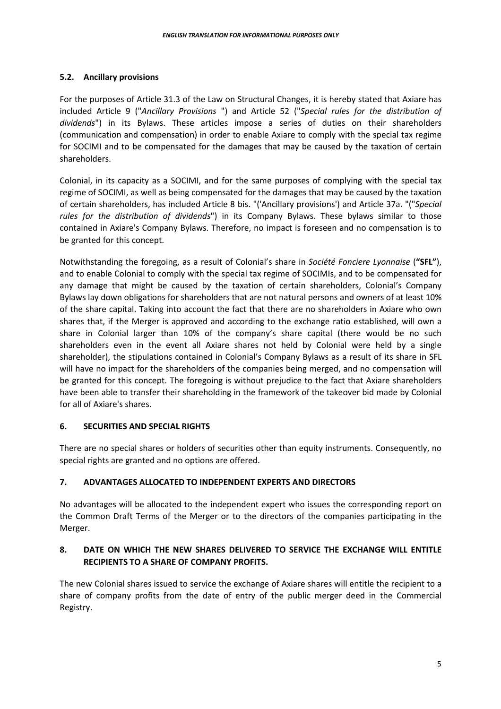# **5.2. Ancillary provisions**

For the purposes of Article 31.3 of the Law on Structural Changes, it is hereby stated that Axiare has included Article 9 ("*Ancillary Provisions* ") and Article 52 ("*Special rules for the distribution of dividends*") in its Bylaws. These articles impose a series of duties on their shareholders (communication and compensation) in order to enable Axiare to comply with the special tax regime for SOCIMI and to be compensated for the damages that may be caused by the taxation of certain shareholders.

Colonial, in its capacity as a SOCIMI, and for the same purposes of complying with the special tax regime of SOCIMI, as well as being compensated for the damages that may be caused by the taxation of certain shareholders, has included Article 8 bis. "('Ancillary provisions') and Article 37a. "("*Special rules for the distribution of dividends*") in its Company Bylaws. These bylaws similar to those contained in Axiare's Company Bylaws. Therefore, no impact is foreseen and no compensation is to be granted for this concept.

Notwithstanding the foregoing, as a result of Colonial's share in *Société Fonciere Lyonnaise* (**"SFL"**), and to enable Colonial to comply with the special tax regime of SOCIMIs, and to be compensated for any damage that might be caused by the taxation of certain shareholders, Colonial's Company Bylaws lay down obligations for shareholders that are not natural persons and owners of at least 10% of the share capital. Taking into account the fact that there are no shareholders in Axiare who own shares that, if the Merger is approved and according to the exchange ratio established, will own a share in Colonial larger than 10% of the company's share capital (there would be no such shareholders even in the event all Axiare shares not held by Colonial were held by a single shareholder), the stipulations contained in Colonial's Company Bylaws as a result of its share in SFL will have no impact for the shareholders of the companies being merged, and no compensation will be granted for this concept. The foregoing is without prejudice to the fact that Axiare shareholders have been able to transfer their shareholding in the framework of the takeover bid made by Colonial for all of Axiare's shares.

# **6. SECURITIES AND SPECIAL RIGHTS**

There are no special shares or holders of securities other than equity instruments. Consequently, no special rights are granted and no options are offered.

# **7. ADVANTAGES ALLOCATED TO INDEPENDENT EXPERTS AND DIRECTORS**

No advantages will be allocated to the independent expert who issues the corresponding report on the Common Draft Terms of the Merger or to the directors of the companies participating in the Merger.

# **8. DATE ON WHICH THE NEW SHARES DELIVERED TO SERVICE THE EXCHANGE WILL ENTITLE RECIPIENTS TO A SHARE OF COMPANY PROFITS.**

The new Colonial shares issued to service the exchange of Axiare shares will entitle the recipient to a share of company profits from the date of entry of the public merger deed in the Commercial Registry.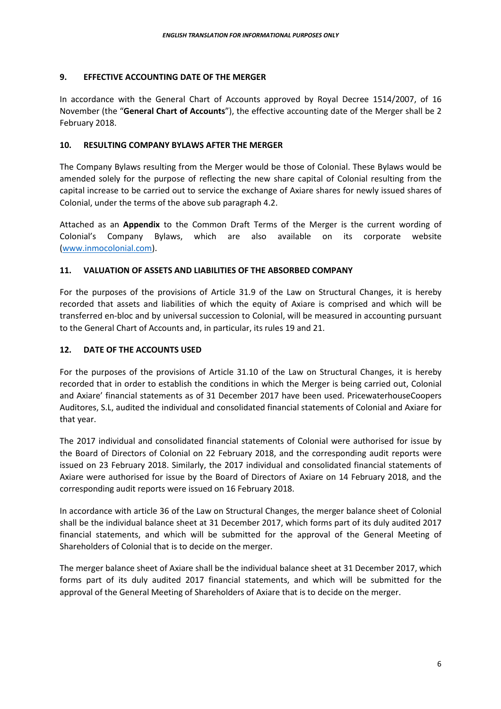# **9. EFFECTIVE ACCOUNTING DATE OF THE MERGER**

In accordance with the General Chart of Accounts approved by Royal Decree 1514/2007, of 16 November (the "**General Chart of Accounts**"), the effective accounting date of the Merger shall be 2 February 2018.

# **10. RESULTING COMPANY BYLAWS AFTER THE MERGER**

The Company Bylaws resulting from the Merger would be those of Colonial. These Bylaws would be amended solely for the purpose of reflecting the new share capital of Colonial resulting from the capital increase to be carried out to service the exchange of Axiare shares for newly issued shares of Colonial, under the terms of the above sub paragraph 4.2.

Attached as an **Appendix** to the Common Draft Terms of the Merger is the current wording of Colonial's Company Bylaws, which are also available on its corporate website (www.inmocolonial.com).

# **11. VALUATION OF ASSETS AND LIABILITIES OF THE ABSORBED COMPANY**

For the purposes of the provisions of Article 31.9 of the Law on Structural Changes, it is hereby recorded that assets and liabilities of which the equity of Axiare is comprised and which will be transferred en-bloc and by universal succession to Colonial, will be measured in accounting pursuant to the General Chart of Accounts and, in particular, its rules 19 and 21.

## **12. DATE OF THE ACCOUNTS USED**

For the purposes of the provisions of Article 31.10 of the Law on Structural Changes, it is hereby recorded that in order to establish the conditions in which the Merger is being carried out, Colonial and Axiare' financial statements as of 31 December 2017 have been used. PricewaterhouseCoopers Auditores, S.L, audited the individual and consolidated financial statements of Colonial and Axiare for that year.

The 2017 individual and consolidated financial statements of Colonial were authorised for issue by the Board of Directors of Colonial on 22 February 2018, and the corresponding audit reports were issued on 23 February 2018. Similarly, the 2017 individual and consolidated financial statements of Axiare were authorised for issue by the Board of Directors of Axiare on 14 February 2018, and the corresponding audit reports were issued on 16 February 2018.

In accordance with article 36 of the Law on Structural Changes, the merger balance sheet of Colonial shall be the individual balance sheet at 31 December 2017, which forms part of its duly audited 2017 financial statements, and which will be submitted for the approval of the General Meeting of Shareholders of Colonial that is to decide on the merger.

The merger balance sheet of Axiare shall be the individual balance sheet at 31 December 2017, which forms part of its duly audited 2017 financial statements, and which will be submitted for the approval of the General Meeting of Shareholders of Axiare that is to decide on the merger.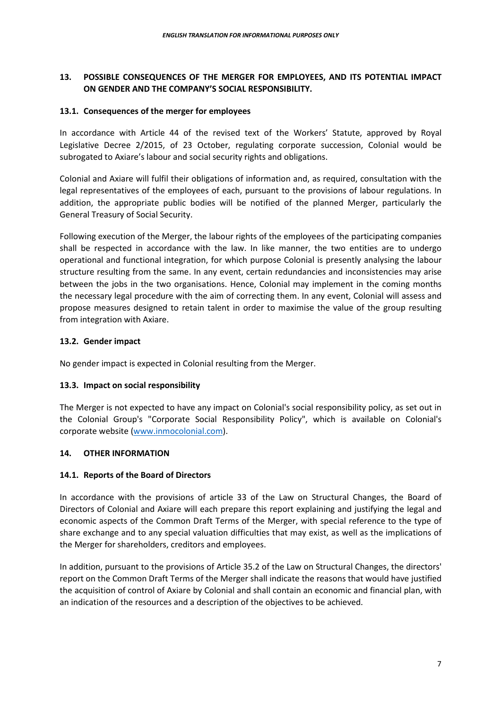# **13. POSSIBLE CONSEQUENCES OF THE MERGER FOR EMPLOYEES, AND ITS POTENTIAL IMPACT ON GENDER AND THE COMPANY'S SOCIAL RESPONSIBILITY.**

## **13.1. Consequences of the merger for employees**

In accordance with Article 44 of the revised text of the Workers' Statute, approved by Royal Legislative Decree 2/2015, of 23 October, regulating corporate succession, Colonial would be subrogated to Axiare's labour and social security rights and obligations.

Colonial and Axiare will fulfil their obligations of information and, as required, consultation with the legal representatives of the employees of each, pursuant to the provisions of labour regulations. In addition, the appropriate public bodies will be notified of the planned Merger, particularly the General Treasury of Social Security.

Following execution of the Merger, the labour rights of the employees of the participating companies shall be respected in accordance with the law. In like manner, the two entities are to undergo operational and functional integration, for which purpose Colonial is presently analysing the labour structure resulting from the same. In any event, certain redundancies and inconsistencies may arise between the jobs in the two organisations. Hence, Colonial may implement in the coming months the necessary legal procedure with the aim of correcting them. In any event, Colonial will assess and propose measures designed to retain talent in order to maximise the value of the group resulting from integration with Axiare.

# **13.2. Gender impact**

No gender impact is expected in Colonial resulting from the Merger.

# **13.3. Impact on social responsibility**

The Merger is not expected to have any impact on Colonial's social responsibility policy, as set out in the Colonial Group's "Corporate Social Responsibility Policy", which is available on Colonial's corporate website (www.inmocolonial.com).

# **14. OTHER INFORMATION**

# **14.1. Reports of the Board of Directors**

In accordance with the provisions of article 33 of the Law on Structural Changes, the Board of Directors of Colonial and Axiare will each prepare this report explaining and justifying the legal and economic aspects of the Common Draft Terms of the Merger, with special reference to the type of share exchange and to any special valuation difficulties that may exist, as well as the implications of the Merger for shareholders, creditors and employees.

In addition, pursuant to the provisions of Article 35.2 of the Law on Structural Changes, the directors' report on the Common Draft Terms of the Merger shall indicate the reasons that would have justified the acquisition of control of Axiare by Colonial and shall contain an economic and financial plan, with an indication of the resources and a description of the objectives to be achieved.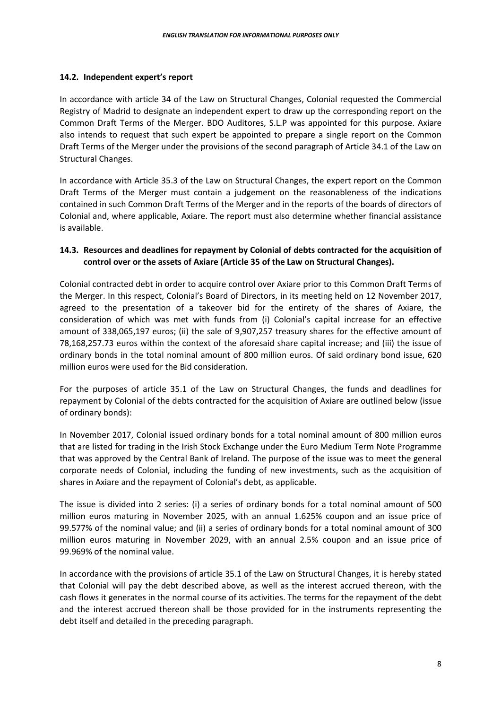#### **14.2. Independent expert's report**

In accordance with article 34 of the Law on Structural Changes, Colonial requested the Commercial Registry of Madrid to designate an independent expert to draw up the corresponding report on the Common Draft Terms of the Merger. BDO Auditores, S.L.P was appointed for this purpose. Axiare also intends to request that such expert be appointed to prepare a single report on the Common Draft Terms of the Merger under the provisions of the second paragraph of Article 34.1 of the Law on Structural Changes.

In accordance with Article 35.3 of the Law on Structural Changes, the expert report on the Common Draft Terms of the Merger must contain a judgement on the reasonableness of the indications contained in such Common Draft Terms of the Merger and in the reports of the boards of directors of Colonial and, where applicable, Axiare. The report must also determine whether financial assistance is available.

# **14.3. Resources and deadlines for repayment by Colonial of debts contracted for the acquisition of control over or the assets of Axiare (Article 35 of the Law on Structural Changes).**

Colonial contracted debt in order to acquire control over Axiare prior to this Common Draft Terms of the Merger. In this respect, Colonial's Board of Directors, in its meeting held on 12 November 2017, agreed to the presentation of a takeover bid for the entirety of the shares of Axiare, the consideration of which was met with funds from (i) Colonial's capital increase for an effective amount of 338,065,197 euros; (ii) the sale of 9,907,257 treasury shares for the effective amount of 78,168,257.73 euros within the context of the aforesaid share capital increase; and (iii) the issue of ordinary bonds in the total nominal amount of 800 million euros. Of said ordinary bond issue, 620 million euros were used for the Bid consideration.

For the purposes of article 35.1 of the Law on Structural Changes, the funds and deadlines for repayment by Colonial of the debts contracted for the acquisition of Axiare are outlined below (issue of ordinary bonds):

In November 2017, Colonial issued ordinary bonds for a total nominal amount of 800 million euros that are listed for trading in the Irish Stock Exchange under the Euro Medium Term Note Programme that was approved by the Central Bank of Ireland. The purpose of the issue was to meet the general corporate needs of Colonial, including the funding of new investments, such as the acquisition of shares in Axiare and the repayment of Colonial's debt, as applicable.

The issue is divided into 2 series: (i) a series of ordinary bonds for a total nominal amount of 500 million euros maturing in November 2025, with an annual 1.625% coupon and an issue price of 99.577% of the nominal value; and (ii) a series of ordinary bonds for a total nominal amount of 300 million euros maturing in November 2029, with an annual 2.5% coupon and an issue price of 99.969% of the nominal value.

In accordance with the provisions of article 35.1 of the Law on Structural Changes, it is hereby stated that Colonial will pay the debt described above, as well as the interest accrued thereon, with the cash flows it generates in the normal course of its activities. The terms for the repayment of the debt and the interest accrued thereon shall be those provided for in the instruments representing the debt itself and detailed in the preceding paragraph.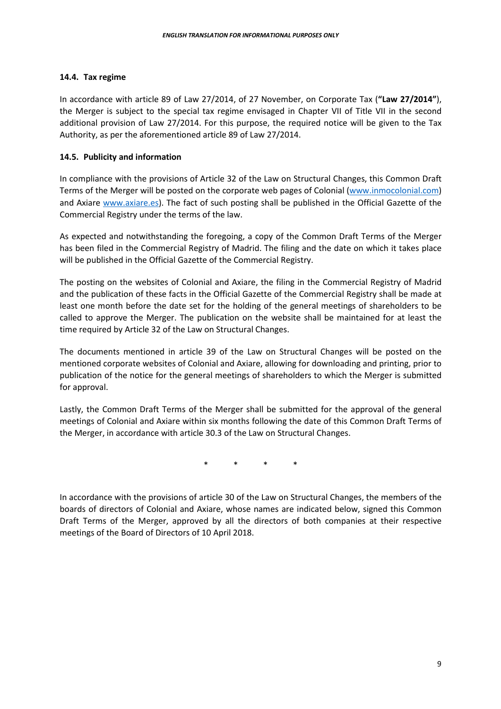#### **14.4. Tax regime**

In accordance with article 89 of Law 27/2014, of 27 November, on Corporate Tax (**"Law 27/2014"**), the Merger is subject to the special tax regime envisaged in Chapter VII of Title VII in the second additional provision of Law 27/2014. For this purpose, the required notice will be given to the Tax Authority, as per the aforementioned article 89 of Law 27/2014.

#### **14.5. Publicity and information**

In compliance with the provisions of Article 32 of the Law on Structural Changes, this Common Draft Terms of the Merger will be posted on the corporate web pages of Colonial (www.inmocolonial.com) and Axiare www.axiare.es). The fact of such posting shall be published in the Official Gazette of the Commercial Registry under the terms of the law.

As expected and notwithstanding the foregoing, a copy of the Common Draft Terms of the Merger has been filed in the Commercial Registry of Madrid. The filing and the date on which it takes place will be published in the Official Gazette of the Commercial Registry.

The posting on the websites of Colonial and Axiare, the filing in the Commercial Registry of Madrid and the publication of these facts in the Official Gazette of the Commercial Registry shall be made at least one month before the date set for the holding of the general meetings of shareholders to be called to approve the Merger. The publication on the website shall be maintained for at least the time required by Article 32 of the Law on Structural Changes.

The documents mentioned in article 39 of the Law on Structural Changes will be posted on the mentioned corporate websites of Colonial and Axiare, allowing for downloading and printing, prior to publication of the notice for the general meetings of shareholders to which the Merger is submitted for approval.

Lastly, the Common Draft Terms of the Merger shall be submitted for the approval of the general meetings of Colonial and Axiare within six months following the date of this Common Draft Terms of the Merger, in accordance with article 30.3 of the Law on Structural Changes.

\* \* \* \*

In accordance with the provisions of article 30 of the Law on Structural Changes, the members of the boards of directors of Colonial and Axiare, whose names are indicated below, signed this Common Draft Terms of the Merger, approved by all the directors of both companies at their respective meetings of the Board of Directors of 10 April 2018.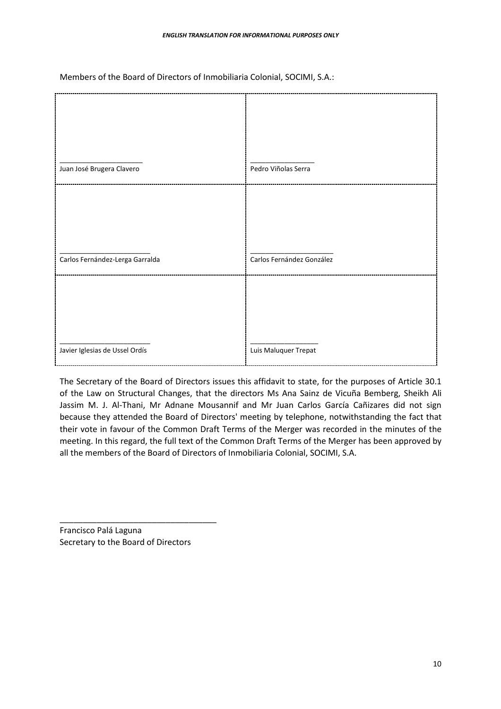|                                 | Pedro Viñolas Serra       |
|---------------------------------|---------------------------|
| Juan José Brugera Clavero       |                           |
| Carlos Fernández-Lerga Garralda | Carlos Fernández González |
| Javier Iglesias de Ussel Ordís  | Luis Maluquer Trepat      |

Members of the Board of Directors of Inmobiliaria Colonial, SOCIMI, S.A.:

The Secretary of the Board of Directors issues this affidavit to state, for the purposes of Article 30.1 of the Law on Structural Changes, that the directors Ms Ana Sainz de Vicuña Bemberg, Sheikh Ali Jassim M. J. Al-Thani, Mr Adnane Mousannif and Mr Juan Carlos García Cañizares did not sign because they attended the Board of Directors' meeting by telephone, notwithstanding the fact that their vote in favour of the Common Draft Terms of the Merger was recorded in the minutes of the meeting. In this regard, the full text of the Common Draft Terms of the Merger has been approved by all the members of the Board of Directors of Inmobiliaria Colonial, SOCIMI, S.A.

Francisco Palá Laguna Secretary to the Board of Directors

\_\_\_\_\_\_\_\_\_\_\_\_\_\_\_\_\_\_\_\_\_\_\_\_\_\_\_\_\_\_\_\_\_\_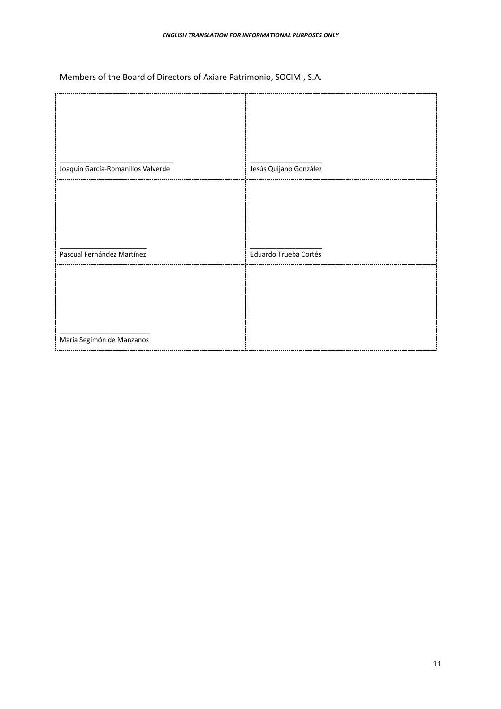Members of the Board of Directors of Axiare Patrimonio, SOCIMI, S.A.

| Joaquín García-Romanillos Valverde | Jesús Quijano González |
|------------------------------------|------------------------|
|                                    |                        |
| Pascual Fernández Martínez         | Eduardo Trueba Cortés  |
|                                    |                        |
| María Segimón de Manzanos          |                        |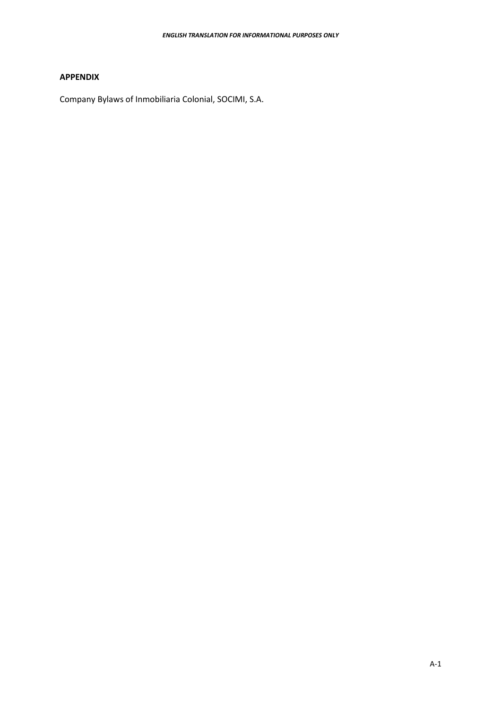# **APPENDIX**

Company Bylaws of Inmobiliaria Colonial, SOCIMI, S.A.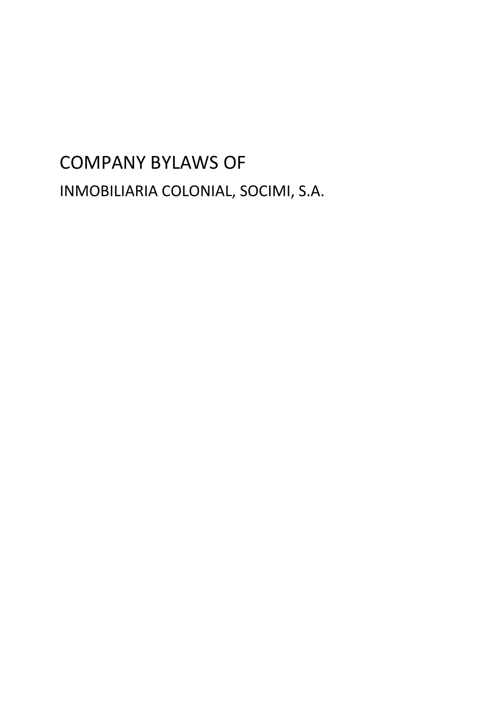# COMPANY BYLAWS OF INMOBILIARIA COLONIAL, SOCIMI, S.A.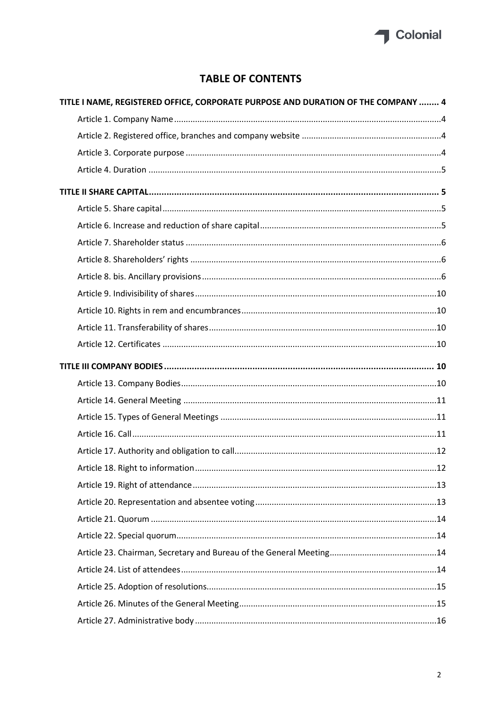

# **TABLE OF CONTENTS**

| TITLE I NAME, REGISTERED OFFICE, CORPORATE PURPOSE AND DURATION OF THE COMPANY  4 |  |
|-----------------------------------------------------------------------------------|--|
|                                                                                   |  |
|                                                                                   |  |
|                                                                                   |  |
|                                                                                   |  |
|                                                                                   |  |
|                                                                                   |  |
|                                                                                   |  |
|                                                                                   |  |
|                                                                                   |  |
|                                                                                   |  |
|                                                                                   |  |
|                                                                                   |  |
|                                                                                   |  |
|                                                                                   |  |
|                                                                                   |  |
|                                                                                   |  |
|                                                                                   |  |
|                                                                                   |  |
|                                                                                   |  |
|                                                                                   |  |
|                                                                                   |  |
|                                                                                   |  |
|                                                                                   |  |
|                                                                                   |  |
|                                                                                   |  |
|                                                                                   |  |
|                                                                                   |  |
|                                                                                   |  |
|                                                                                   |  |
|                                                                                   |  |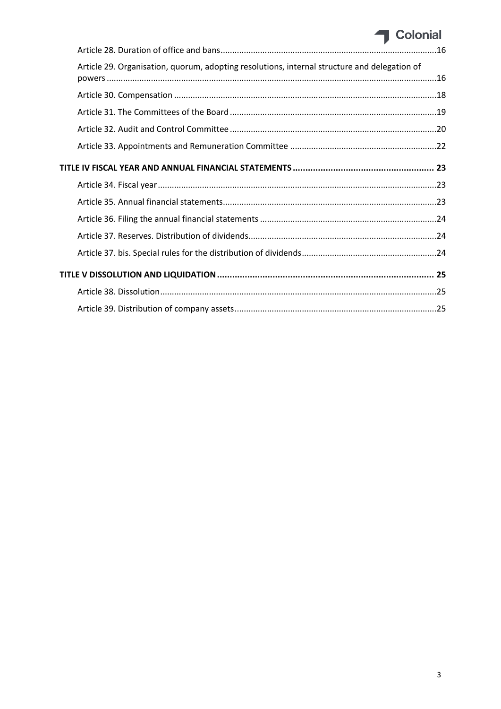# Colonial

|  | Article 29. Organisation, quorum, adopting resolutions, internal structure and delegation of |  |  |
|--|----------------------------------------------------------------------------------------------|--|--|
|  |                                                                                              |  |  |
|  |                                                                                              |  |  |
|  |                                                                                              |  |  |
|  |                                                                                              |  |  |
|  |                                                                                              |  |  |
|  |                                                                                              |  |  |
|  |                                                                                              |  |  |
|  |                                                                                              |  |  |
|  |                                                                                              |  |  |
|  |                                                                                              |  |  |
|  |                                                                                              |  |  |
|  |                                                                                              |  |  |
|  |                                                                                              |  |  |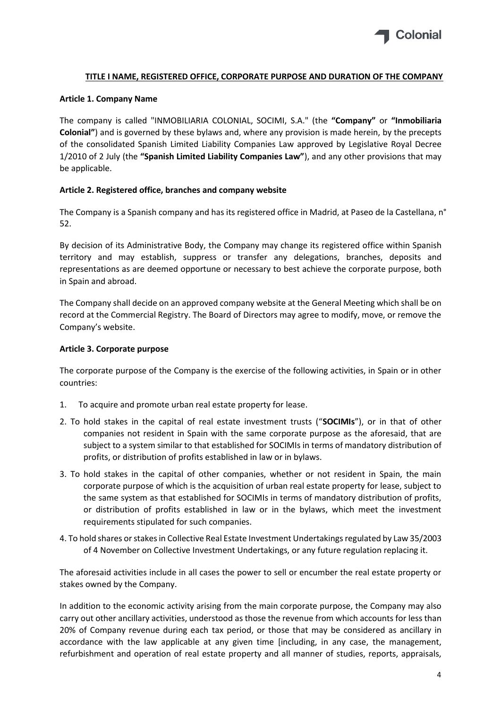

#### <span id="page-18-0"></span>**TITLE I NAME, REGISTERED OFFICE, CORPORATE PURPOSE AND DURATION OF THE COMPANY**

#### <span id="page-18-1"></span>**Article 1. Company Name**

The company is called "INMOBILIARIA COLONIAL, SOCIMI, S.A." (the **"Company"** or **"Inmobiliaria Colonial"**) and is governed by these bylaws and, where any provision is made herein, by the precepts of the consolidated Spanish Limited Liability Companies Law approved by Legislative Royal Decree 1/2010 of 2 July (the **"Spanish Limited Liability Companies Law"**), and any other provisions that may be applicable.

#### <span id="page-18-2"></span>**Article 2. Registered office, branches and company website**

The Company is a Spanish company and has its registered office in Madrid, at Paseo de la Castellana, n° 52.

By decision of its Administrative Body, the Company may change its registered office within Spanish territory and may establish, suppress or transfer any delegations, branches, deposits and representations as are deemed opportune or necessary to best achieve the corporate purpose, both in Spain and abroad.

The Company shall decide on an approved company website at the General Meeting which shall be on record at the Commercial Registry. The Board of Directors may agree to modify, move, or remove the Company's website.

#### <span id="page-18-3"></span>**Article 3. Corporate purpose**

The corporate purpose of the Company is the exercise of the following activities, in Spain or in other countries:

- 1. To acquire and promote urban real estate property for lease.
- 2. To hold stakes in the capital of real estate investment trusts ("**SOCIMIs**"), or in that of other companies not resident in Spain with the same corporate purpose as the aforesaid, that are subject to a system similar to that established for SOCIMIs in terms of mandatory distribution of profits, or distribution of profits established in law or in bylaws.
- 3. To hold stakes in the capital of other companies, whether or not resident in Spain, the main corporate purpose of which is the acquisition of urban real estate property for lease, subject to the same system as that established for SOCIMIs in terms of mandatory distribution of profits, or distribution of profits established in law or in the bylaws, which meet the investment requirements stipulated for such companies.
- 4. To hold shares or stakes in Collective Real Estate Investment Undertakings regulated by Law 35/2003 of 4 November on Collective Investment Undertakings, or any future regulation replacing it.

The aforesaid activities include in all cases the power to sell or encumber the real estate property or stakes owned by the Company.

In addition to the economic activity arising from the main corporate purpose, the Company may also carry out other ancillary activities, understood as those the revenue from which accounts for less than 20% of Company revenue during each tax period, or those that may be considered as ancillary in accordance with the law applicable at any given time [including, in any case, the management, refurbishment and operation of real estate property and all manner of studies, reports, appraisals,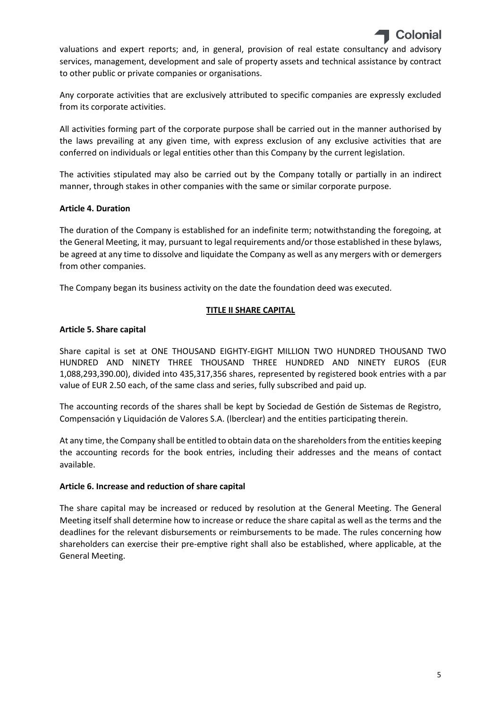valuations and expert reports; and, in general, provision of real estate consultancy and advisory services, management, development and sale of property assets and technical assistance by contract to other public or private companies or organisations.

Any corporate activities that are exclusively attributed to specific companies are expressly excluded from its corporate activities.

All activities forming part of the corporate purpose shall be carried out in the manner authorised by the laws prevailing at any given time, with express exclusion of any exclusive activities that are conferred on individuals or legal entities other than this Company by the current legislation.

The activities stipulated may also be carried out by the Company totally or partially in an indirect manner, through stakes in other companies with the same or similar corporate purpose.

# <span id="page-19-0"></span>**Article 4. Duration**

The duration of the Company is established for an indefinite term; notwithstanding the foregoing, at the General Meeting, it may, pursuant to legal requirements and/or those established in these bylaws, be agreed at any time to dissolve and liquidate the Company as well as any mergers with or demergers from other companies.

The Company began its business activity on the date the foundation deed was executed.

# **TITLE II SHARE CAPITAL**

# <span id="page-19-2"></span><span id="page-19-1"></span>**Article 5. Share capital**

Share capital is set at ONE THOUSAND EIGHTY-EIGHT MILLION TWO HUNDRED THOUSAND TWO HUNDRED AND NINETY THREE THOUSAND THREE HUNDRED AND NINETY EUROS (EUR 1,088,293,390.00), divided into 435,317,356 shares, represented by registered book entries with a par value of EUR 2.50 each, of the same class and series, fully subscribed and paid up.

The accounting records of the shares shall be kept by Sociedad de Gestión de Sistemas de Registro, Compensación y Liquidación de Valores S.A. (lberclear) and the entities participating therein.

At any time, the Company shall be entitled to obtain data on the shareholders from the entities keeping the accounting records for the book entries, including their addresses and the means of contact available.

#### <span id="page-19-3"></span>**Article 6. Increase and reduction of share capital**

The share capital may be increased or reduced by resolution at the General Meeting. The General Meeting itself shall determine how to increase or reduce the share capital as well as the terms and the deadlines for the relevant disbursements or reimbursements to be made. The rules concerning how shareholders can exercise their pre-emptive right shall also be established, where applicable, at the General Meeting.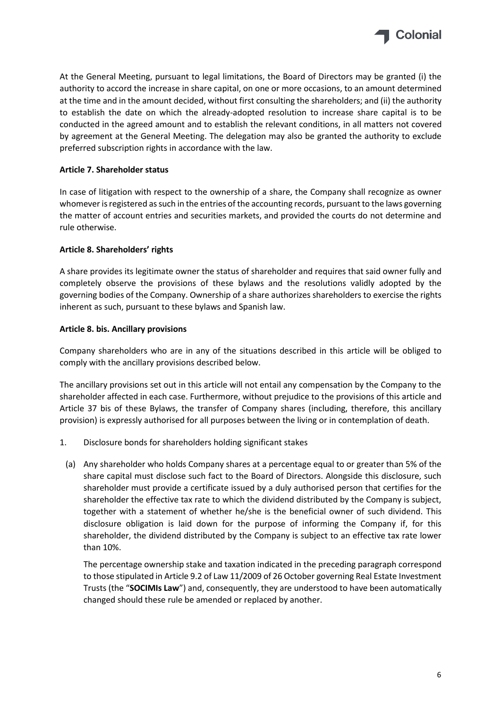

At the General Meeting, pursuant to legal limitations, the Board of Directors may be granted (i) the authority to accord the increase in share capital, on one or more occasions, to an amount determined at the time and in the amount decided, without first consulting the shareholders; and (ii) the authority to establish the date on which the already-adopted resolution to increase share capital is to be conducted in the agreed amount and to establish the relevant conditions, in all matters not covered by agreement at the General Meeting. The delegation may also be granted the authority to exclude preferred subscription rights in accordance with the law.

# <span id="page-20-0"></span>**Article 7. Shareholder status**

In case of litigation with respect to the ownership of a share, the Company shall recognize as owner whomever is registered as such in the entries of the accounting records, pursuant to the laws governing the matter of account entries and securities markets, and provided the courts do not determine and rule otherwise.

# <span id="page-20-1"></span>**Article 8. Shareholders' rights**

A share provides its legitimate owner the status of shareholder and requires that said owner fully and completely observe the provisions of these bylaws and the resolutions validly adopted by the governing bodies of the Company. Ownership of a share authorizes shareholders to exercise the rights inherent as such, pursuant to these bylaws and Spanish law.

#### <span id="page-20-2"></span>**Article 8. bis. Ancillary provisions**

Company shareholders who are in any of the situations described in this article will be obliged to comply with the ancillary provisions described below.

The ancillary provisions set out in this article will not entail any compensation by the Company to the shareholder affected in each case. Furthermore, without prejudice to the provisions of this article and Article 37 bis of these Bylaws, the transfer of Company shares (including, therefore, this ancillary provision) is expressly authorised for all purposes between the living or in contemplation of death.

- 1. Disclosure bonds for shareholders holding significant stakes
- (a) Any shareholder who holds Company shares at a percentage equal to or greater than 5% of the share capital must disclose such fact to the Board of Directors. Alongside this disclosure, such shareholder must provide a certificate issued by a duly authorised person that certifies for the shareholder the effective tax rate to which the dividend distributed by the Company is subject, together with a statement of whether he/she is the beneficial owner of such dividend. This disclosure obligation is laid down for the purpose of informing the Company if, for this shareholder, the dividend distributed by the Company is subject to an effective tax rate lower than 10%.

The percentage ownership stake and taxation indicated in the preceding paragraph correspond to those stipulated in Article 9.2 of Law 11/2009 of 26 October governing Real Estate Investment Trusts (the "**SOCIMIs Law**") and, consequently, they are understood to have been automatically changed should these rule be amended or replaced by another.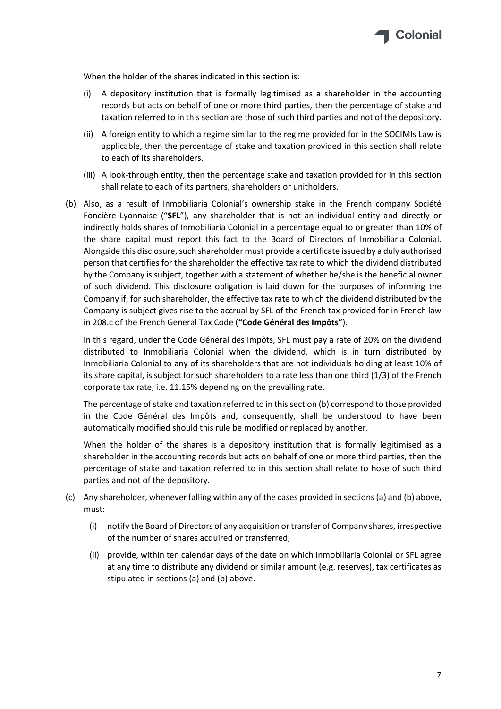

When the holder of the shares indicated in this section is:

- (i) A depository institution that is formally legitimised as a shareholder in the accounting records but acts on behalf of one or more third parties, then the percentage of stake and taxation referred to in this section are those of such third parties and not of the depository.
- (ii) A foreign entity to which a regime similar to the regime provided for in the SOCIMIs Law is applicable, then the percentage of stake and taxation provided in this section shall relate to each of its shareholders.
- (iii) A look-through entity, then the percentage stake and taxation provided for in this section shall relate to each of its partners, shareholders or unitholders.
- (b) Also, as a result of Inmobiliaria Colonial's ownership stake in the French company Société Foncière Lyonnaise ("**SFL**"), any shareholder that is not an individual entity and directly or indirectly holds shares of Inmobiliaria Colonial in a percentage equal to or greater than 10% of the share capital must report this fact to the Board of Directors of Inmobiliaria Colonial. Alongside this disclosure, such shareholder must provide a certificate issued by a duly authorised person that certifies for the shareholder the effective tax rate to which the dividend distributed by the Company is subject, together with a statement of whether he/she is the beneficial owner of such dividend. This disclosure obligation is laid down for the purposes of informing the Company if, for such shareholder, the effective tax rate to which the dividend distributed by the Company is subject gives rise to the accrual by SFL of the French tax provided for in French law in 208.c of the French General Tax Code (**"Code Général des Impôts"**).

In this regard, under the Code Général des Impôts, SFL must pay a rate of 20% on the dividend distributed to Inmobiliaria Colonial when the dividend, which is in turn distributed by Inmobiliaria Colonial to any of its shareholders that are not individuals holding at least 10% of its share capital, is subject for such shareholders to a rate less than one third (1/3) of the French corporate tax rate, i.e. 11.15% depending on the prevailing rate.

The percentage of stake and taxation referred to in this section (b) correspond to those provided in the Code Général des Impôts and, consequently, shall be understood to have been automatically modified should this rule be modified or replaced by another.

When the holder of the shares is a depository institution that is formally legitimised as a shareholder in the accounting records but acts on behalf of one or more third parties, then the percentage of stake and taxation referred to in this section shall relate to hose of such third parties and not of the depository.

- (c) Any shareholder, whenever falling within any of the cases provided in sections (a) and (b) above, must:
	- (i) notify the Board of Directors of any acquisition or transfer of Company shares, irrespective of the number of shares acquired or transferred;
	- (ii) provide, within ten calendar days of the date on which Inmobiliaria Colonial or SFL agree at any time to distribute any dividend or similar amount (e.g. reserves), tax certificates as stipulated in sections (a) and (b) above.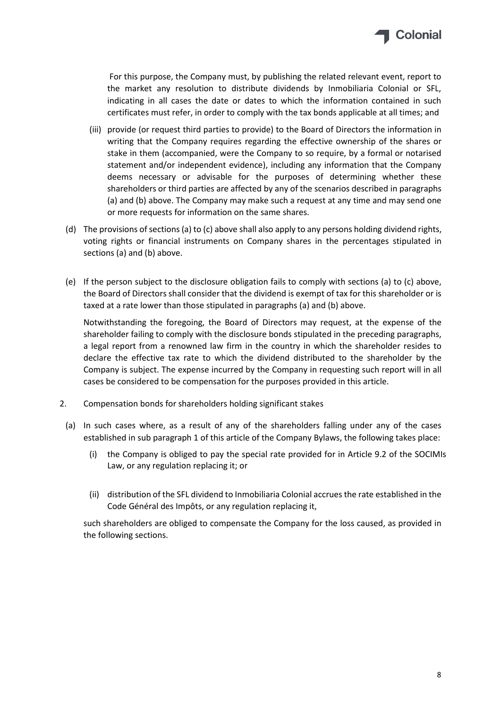

For this purpose, the Company must, by publishing the related relevant event, report to the market any resolution to distribute dividends by Inmobiliaria Colonial or SFL, indicating in all cases the date or dates to which the information contained in such certificates must refer, in order to comply with the tax bonds applicable at all times; and

- (iii) provide (or request third parties to provide) to the Board of Directors the information in writing that the Company requires regarding the effective ownership of the shares or stake in them (accompanied, were the Company to so require, by a formal or notarised statement and/or independent evidence), including any information that the Company deems necessary or advisable for the purposes of determining whether these shareholders or third parties are affected by any of the scenarios described in paragraphs (a) and (b) above. The Company may make such a request at any time and may send one or more requests for information on the same shares.
- (d) The provisions of sections (a) to (c) above shall also apply to any persons holding dividend rights, voting rights or financial instruments on Company shares in the percentages stipulated in sections (a) and (b) above.
- (e) If the person subject to the disclosure obligation fails to comply with sections (a) to (c) above, the Board of Directors shall consider that the dividend is exempt of tax for this shareholder or is taxed at a rate lower than those stipulated in paragraphs (a) and (b) above.

Notwithstanding the foregoing, the Board of Directors may request, at the expense of the shareholder failing to comply with the disclosure bonds stipulated in the preceding paragraphs, a legal report from a renowned law firm in the country in which the shareholder resides to declare the effective tax rate to which the dividend distributed to the shareholder by the Company is subject. The expense incurred by the Company in requesting such report will in all cases be considered to be compensation for the purposes provided in this article.

- 2. Compensation bonds for shareholders holding significant stakes
- (a) In such cases where, as a result of any of the shareholders falling under any of the cases established in sub paragraph 1 of this article of the Company Bylaws, the following takes place:
	- (i) the Company is obliged to pay the special rate provided for in Article 9.2 of the SOCIMIs Law, or any regulation replacing it; or
	- (ii) distribution of the SFL dividend to Inmobiliaria Colonial accrues the rate established in the Code Général des Impôts, or any regulation replacing it,

such shareholders are obliged to compensate the Company for the loss caused, as provided in the following sections.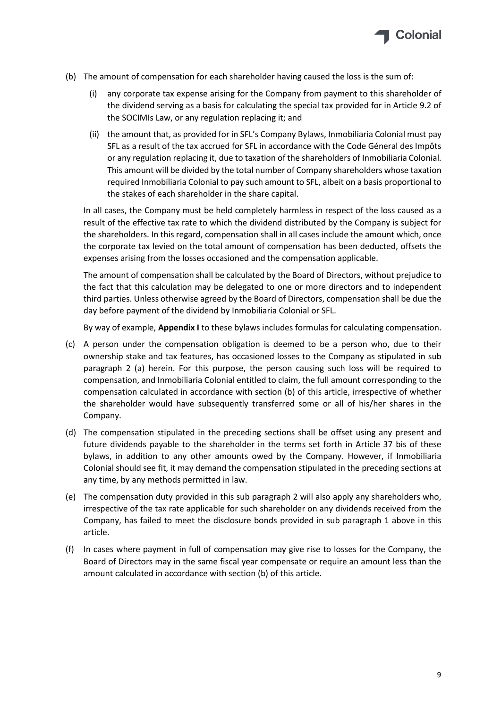

- (b) The amount of compensation for each shareholder having caused the loss is the sum of:
	- (i) any corporate tax expense arising for the Company from payment to this shareholder of the dividend serving as a basis for calculating the special tax provided for in Article 9.2 of the SOCIMIs Law, or any regulation replacing it; and
	- (ii) the amount that, as provided for in SFL's Company Bylaws, Inmobiliaria Colonial must pay SFL as a result of the tax accrued for SFL in accordance with the Code Géneral des Impôts or any regulation replacing it, due to taxation of the shareholders of Inmobiliaria Colonial. This amount will be divided by the total number of Company shareholders whose taxation required Inmobiliaria Colonial to pay such amount to SFL, albeit on a basis proportional to the stakes of each shareholder in the share capital.

In all cases, the Company must be held completely harmless in respect of the loss caused as a result of the effective tax rate to which the dividend distributed by the Company is subject for the shareholders. In this regard, compensation shall in all cases include the amount which, once the corporate tax levied on the total amount of compensation has been deducted, offsets the expenses arising from the losses occasioned and the compensation applicable.

The amount of compensation shall be calculated by the Board of Directors, without prejudice to the fact that this calculation may be delegated to one or more directors and to independent third parties. Unless otherwise agreed by the Board of Directors, compensation shall be due the day before payment of the dividend by Inmobiliaria Colonial or SFL.

By way of example, **Appendix I** to these bylaws includes formulas for calculating compensation.

- (c) A person under the compensation obligation is deemed to be a person who, due to their ownership stake and tax features, has occasioned losses to the Company as stipulated in sub paragraph 2 (a) herein. For this purpose, the person causing such loss will be required to compensation, and Inmobiliaria Colonial entitled to claim, the full amount corresponding to the compensation calculated in accordance with section (b) of this article, irrespective of whether the shareholder would have subsequently transferred some or all of his/her shares in the Company.
- (d) The compensation stipulated in the preceding sections shall be offset using any present and future dividends payable to the shareholder in the terms set forth in Article 37 bis of these bylaws, in addition to any other amounts owed by the Company. However, if Inmobiliaria Colonial should see fit, it may demand the compensation stipulated in the preceding sections at any time, by any methods permitted in law.
- (e) The compensation duty provided in this sub paragraph 2 will also apply any shareholders who, irrespective of the tax rate applicable for such shareholder on any dividends received from the Company, has failed to meet the disclosure bonds provided in sub paragraph 1 above in this article.
- (f) In cases where payment in full of compensation may give rise to losses for the Company, the Board of Directors may in the same fiscal year compensate or require an amount less than the amount calculated in accordance with section (b) of this article.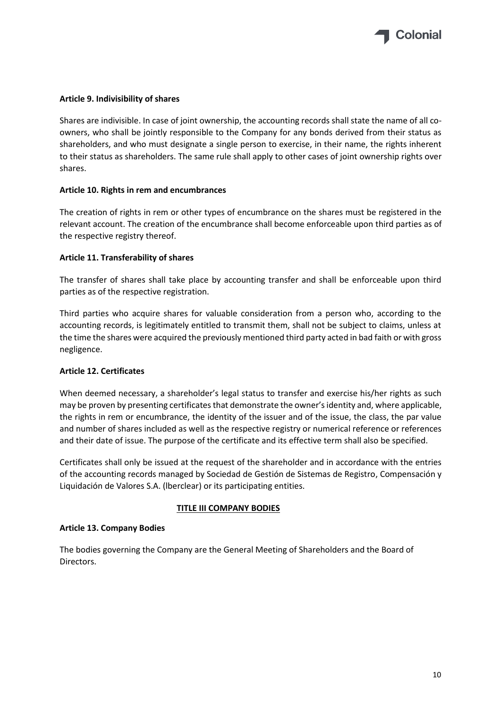

#### <span id="page-24-0"></span>**Article 9. Indivisibility of shares**

Shares are indivisible. In case of joint ownership, the accounting records shall state the name of all coowners, who shall be jointly responsible to the Company for any bonds derived from their status as shareholders, and who must designate a single person to exercise, in their name, the rights inherent to their status as shareholders. The same rule shall apply to other cases of joint ownership rights over shares.

#### <span id="page-24-1"></span>**Article 10. Rights in rem and encumbrances**

The creation of rights in rem or other types of encumbrance on the shares must be registered in the relevant account. The creation of the encumbrance shall become enforceable upon third parties as of the respective registry thereof.

#### <span id="page-24-2"></span>**Article 11. Transferability of shares**

The transfer of shares shall take place by accounting transfer and shall be enforceable upon third parties as of the respective registration.

Third parties who acquire shares for valuable consideration from a person who, according to the accounting records, is legitimately entitled to transmit them, shall not be subject to claims, unless at the time the shares were acquired the previously mentioned third party acted in bad faith or with gross negligence.

#### <span id="page-24-3"></span>**Article 12. Certificates**

When deemed necessary, a shareholder's legal status to transfer and exercise his/her rights as such may be proven by presenting certificates that demonstrate the owner's identity and, where applicable, the rights in rem or encumbrance, the identity of the issuer and of the issue, the class, the par value and number of shares included as well as the respective registry or numerical reference or references and their date of issue. The purpose of the certificate and its effective term shall also be specified.

Certificates shall only be issued at the request of the shareholder and in accordance with the entries of the accounting records managed by Sociedad de Gestión de Sistemas de Registro, Compensación y Liquidación de Valores S.A. (lberclear) or its participating entities.

#### **TITLE III COMPANY BODIES**

#### <span id="page-24-5"></span><span id="page-24-4"></span>**Article 13. Company Bodies**

The bodies governing the Company are the General Meeting of Shareholders and the Board of Directors.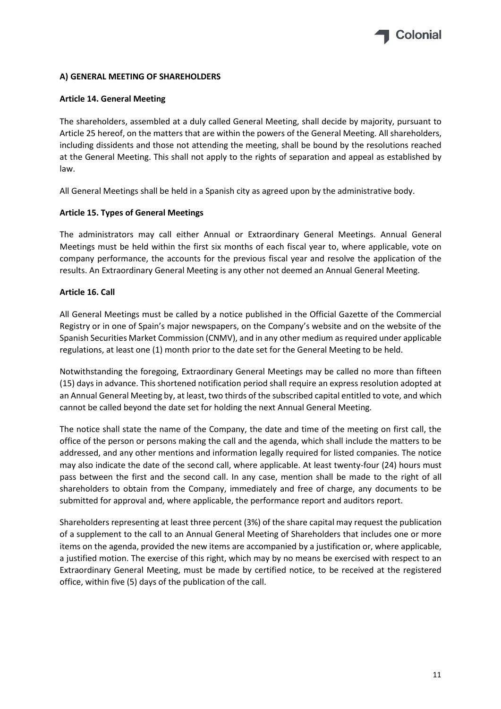

# **A) GENERAL MEETING OF SHAREHOLDERS**

#### <span id="page-25-0"></span>**Article 14. General Meeting**

The shareholders, assembled at a duly called General Meeting, shall decide by majority, pursuant to Article 25 hereof, on the matters that are within the powers of the General Meeting. All shareholders, including dissidents and those not attending the meeting, shall be bound by the resolutions reached at the General Meeting. This shall not apply to the rights of separation and appeal as established by law.

All General Meetings shall be held in a Spanish city as agreed upon by the administrative body.

#### <span id="page-25-1"></span>**Article 15. Types of General Meetings**

The administrators may call either Annual or Extraordinary General Meetings. Annual General Meetings must be held within the first six months of each fiscal year to, where applicable, vote on company performance, the accounts for the previous fiscal year and resolve the application of the results. An Extraordinary General Meeting is any other not deemed an Annual General Meeting.

#### <span id="page-25-2"></span>**Article 16. Call**

All General Meetings must be called by a notice published in the Official Gazette of the Commercial Registry or in one of Spain's major newspapers, on the Company's website and on the website of the Spanish Securities Market Commission (CNMV), and in any other medium as required under applicable regulations, at least one (1) month prior to the date set for the General Meeting to be held.

Notwithstanding the foregoing, Extraordinary General Meetings may be called no more than fifteen (15) days in advance. This shortened notification period shall require an express resolution adopted at an Annual General Meeting by, at least, two thirds of the subscribed capital entitled to vote, and which cannot be called beyond the date set for holding the next Annual General Meeting.

The notice shall state the name of the Company, the date and time of the meeting on first call, the office of the person or persons making the call and the agenda, which shall include the matters to be addressed, and any other mentions and information legally required for listed companies. The notice may also indicate the date of the second call, where applicable. At least twenty-four (24) hours must pass between the first and the second call. In any case, mention shall be made to the right of all shareholders to obtain from the Company, immediately and free of charge, any documents to be submitted for approval and, where applicable, the performance report and auditors report.

Shareholders representing at least three percent (3%) of the share capital may request the publication of a supplement to the call to an Annual General Meeting of Shareholders that includes one or more items on the agenda, provided the new items are accompanied by a justification or, where applicable, a justified motion. The exercise of this right, which may by no means be exercised with respect to an Extraordinary General Meeting, must be made by certified notice, to be received at the registered office, within five (5) days of the publication of the call.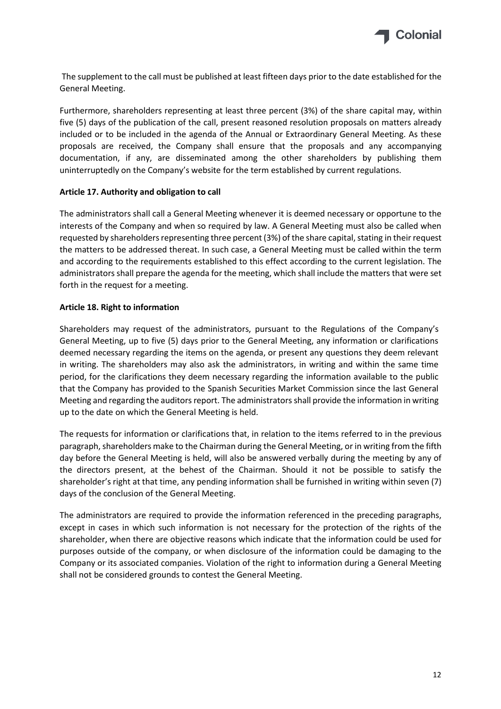

The supplement to the call must be published at least fifteen days prior to the date established for the General Meeting.

Furthermore, shareholders representing at least three percent (3%) of the share capital may, within five (5) days of the publication of the call, present reasoned resolution proposals on matters already included or to be included in the agenda of the Annual or Extraordinary General Meeting. As these proposals are received, the Company shall ensure that the proposals and any accompanying documentation, if any, are disseminated among the other shareholders by publishing them uninterruptedly on the Company's website for the term established by current regulations.

#### <span id="page-26-0"></span>**Article 17. Authority and obligation to call**

The administrators shall call a General Meeting whenever it is deemed necessary or opportune to the interests of the Company and when so required by law. A General Meeting must also be called when requested by shareholders representing three percent (3%) of the share capital, stating in their request the matters to be addressed thereat. In such case, a General Meeting must be called within the term and according to the requirements established to this effect according to the current legislation. The administrators shall prepare the agenda for the meeting, which shall include the matters that were set forth in the request for a meeting.

# <span id="page-26-1"></span>**Article 18. Right to information**

Shareholders may request of the administrators, pursuant to the Regulations of the Company's General Meeting, up to five (5) days prior to the General Meeting, any information or clarifications deemed necessary regarding the items on the agenda, or present any questions they deem relevant in writing. The shareholders may also ask the administrators, in writing and within the same time period, for the clarifications they deem necessary regarding the information available to the public that the Company has provided to the Spanish Securities Market Commission since the last General Meeting and regarding the auditors report. The administrators shall provide the information in writing up to the date on which the General Meeting is held.

The requests for information or clarifications that, in relation to the items referred to in the previous paragraph, shareholders make to the Chairman during the General Meeting, or in writing from the fifth day before the General Meeting is held, will also be answered verbally during the meeting by any of the directors present, at the behest of the Chairman. Should it not be possible to satisfy the shareholder's right at that time, any pending information shall be furnished in writing within seven (7) days of the conclusion of the General Meeting.

The administrators are required to provide the information referenced in the preceding paragraphs, except in cases in which such information is not necessary for the protection of the rights of the shareholder, when there are objective reasons which indicate that the information could be used for purposes outside of the company, or when disclosure of the information could be damaging to the Company or its associated companies. Violation of the right to information during a General Meeting shall not be considered grounds to contest the General Meeting.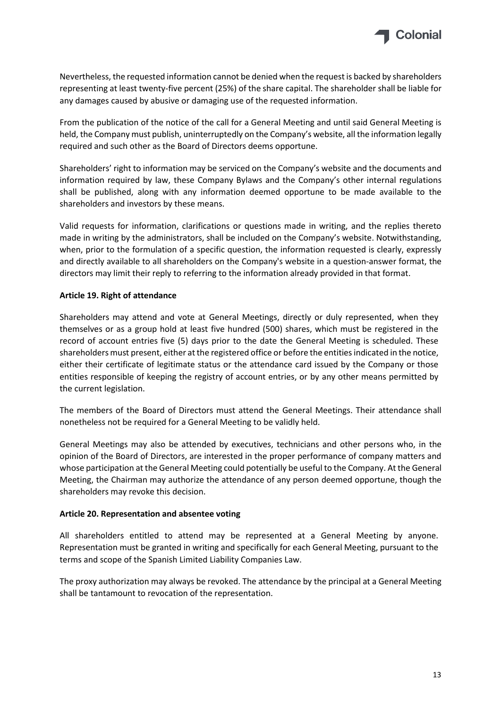

Nevertheless, the requested information cannot be denied when the request is backed by shareholders representing at least twenty-five percent (25%) of the share capital. The shareholder shall be liable for any damages caused by abusive or damaging use of the requested information.

From the publication of the notice of the call for a General Meeting and until said General Meeting is held, the Company must publish, uninterruptedly on the Company's website, all the information legally required and such other as the Board of Directors deems opportune.

Shareholders' right to information may be serviced on the Company's website and the documents and information required by law, these Company Bylaws and the Company's other internal regulations shall be published, along with any information deemed opportune to be made available to the shareholders and investors by these means.

Valid requests for information, clarifications or questions made in writing, and the replies thereto made in writing by the administrators, shall be included on the Company's website. Notwithstanding, when, prior to the formulation of a specific question, the information requested is clearly, expressly and directly available to all shareholders on the Company's website in a question-answer format, the directors may limit their reply to referring to the information already provided in that format.

# <span id="page-27-0"></span>**Article 19. Right of attendance**

Shareholders may attend and vote at General Meetings, directly or duly represented, when they themselves or as a group hold at least five hundred (500) shares, which must be registered in the record of account entries five (5) days prior to the date the General Meeting is scheduled. These shareholders must present, either at the registered office or before the entities indicated in the notice, either their certificate of legitimate status or the attendance card issued by the Company or those entities responsible of keeping the registry of account entries, or by any other means permitted by the current legislation.

The members of the Board of Directors must attend the General Meetings. Their attendance shall nonetheless not be required for a General Meeting to be validly held.

General Meetings may also be attended by executives, technicians and other persons who, in the opinion of the Board of Directors, are interested in the proper performance of company matters and whose participation at the General Meeting could potentially be useful to the Company. At the General Meeting, the Chairman may authorize the attendance of any person deemed opportune, though the shareholders may revoke this decision.

#### <span id="page-27-1"></span>**Article 20. Representation and absentee voting**

All shareholders entitled to attend may be represented at a General Meeting by anyone. Representation must be granted in writing and specifically for each General Meeting, pursuant to the terms and scope of the Spanish Limited Liability Companies Law.

The proxy authorization may always be revoked. The attendance by the principal at a General Meeting shall be tantamount to revocation of the representation.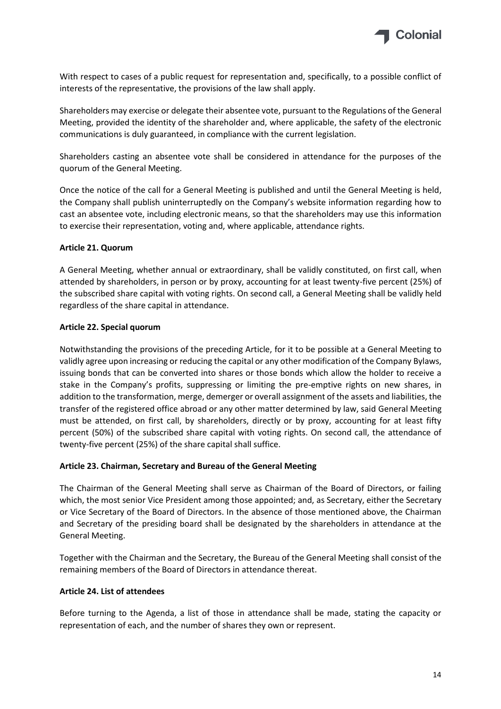

With respect to cases of a public request for representation and, specifically, to a possible conflict of interests of the representative, the provisions of the law shall apply.

Shareholders may exercise or delegate their absentee vote, pursuant to the Regulations of the General Meeting, provided the identity of the shareholder and, where applicable, the safety of the electronic communications is duly guaranteed, in compliance with the current legislation.

Shareholders casting an absentee vote shall be considered in attendance for the purposes of the quorum of the General Meeting.

Once the notice of the call for a General Meeting is published and until the General Meeting is held, the Company shall publish uninterruptedly on the Company's website information regarding how to cast an absentee vote, including electronic means, so that the shareholders may use this information to exercise their representation, voting and, where applicable, attendance rights.

# <span id="page-28-0"></span>**Article 21. Quorum**

A General Meeting, whether annual or extraordinary, shall be validly constituted, on first call, when attended by shareholders, in person or by proxy, accounting for at least twenty-five percent (25%) of the subscribed share capital with voting rights. On second call, a General Meeting shall be validly held regardless of the share capital in attendance.

# <span id="page-28-1"></span>**Article 22. Special quorum**

Notwithstanding the provisions of the preceding Article, for it to be possible at a General Meeting to validly agree upon increasing or reducing the capital or any other modification of the Company Bylaws, issuing bonds that can be converted into shares or those bonds which allow the holder to receive a stake in the Company's profits, suppressing or limiting the pre-emptive rights on new shares, in addition to the transformation, merge, demerger or overall assignment of the assets and liabilities, the transfer of the registered office abroad or any other matter determined by law, said General Meeting must be attended, on first call, by shareholders, directly or by proxy, accounting for at least fifty percent (50%) of the subscribed share capital with voting rights. On second call, the attendance of twenty-five percent (25%) of the share capital shall suffice.

#### <span id="page-28-2"></span>**Article 23. Chairman, Secretary and Bureau of the General Meeting**

The Chairman of the General Meeting shall serve as Chairman of the Board of Directors, or failing which, the most senior Vice President among those appointed; and, as Secretary, either the Secretary or Vice Secretary of the Board of Directors. In the absence of those mentioned above, the Chairman and Secretary of the presiding board shall be designated by the shareholders in attendance at the General Meeting.

Together with the Chairman and the Secretary, the Bureau of the General Meeting shall consist of the remaining members of the Board of Directors in attendance thereat.

#### <span id="page-28-3"></span>**Article 24. List of attendees**

Before turning to the Agenda, a list of those in attendance shall be made, stating the capacity or representation of each, and the number of shares they own or represent.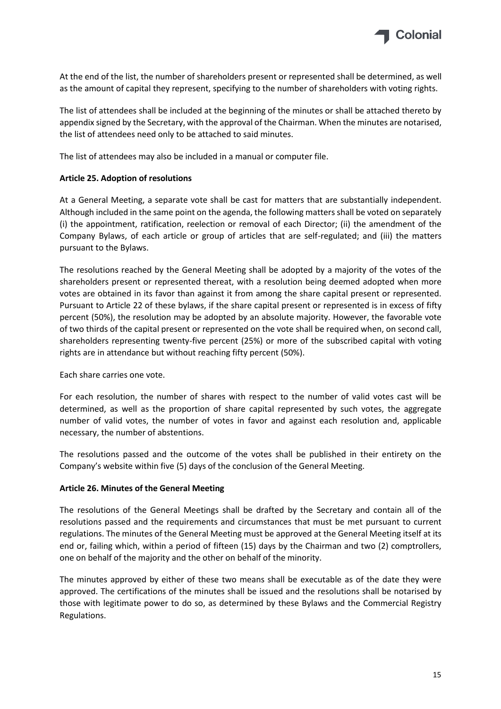

At the end of the list, the number of shareholders present or represented shall be determined, as well as the amount of capital they represent, specifying to the number of shareholders with voting rights.

The list of attendees shall be included at the beginning of the minutes or shall be attached thereto by appendix signed by the Secretary, with the approval of the Chairman. When the minutes are notarised, the list of attendees need only to be attached to said minutes.

The list of attendees may also be included in a manual or computer file.

# <span id="page-29-0"></span>**Article 25. Adoption of resolutions**

At a General Meeting, a separate vote shall be cast for matters that are substantially independent. Although included in the same point on the agenda, the following matters shall be voted on separately (i) the appointment, ratification, reelection or removal of each Director; (ii) the amendment of the Company Bylaws, of each article or group of articles that are self-regulated; and (iii) the matters pursuant to the Bylaws.

The resolutions reached by the General Meeting shall be adopted by a majority of the votes of the shareholders present or represented thereat, with a resolution being deemed adopted when more votes are obtained in its favor than against it from among the share capital present or represented. Pursuant to Article 22 of these bylaws, if the share capital present or represented is in excess of fifty percent (50%), the resolution may be adopted by an absolute majority. However, the favorable vote of two thirds of the capital present or represented on the vote shall be required when, on second call, shareholders representing twenty-five percent (25%) or more of the subscribed capital with voting rights are in attendance but without reaching fifty percent (50%).

Each share carries one vote.

For each resolution, the number of shares with respect to the number of valid votes cast will be determined, as well as the proportion of share capital represented by such votes, the aggregate number of valid votes, the number of votes in favor and against each resolution and, applicable necessary, the number of abstentions.

The resolutions passed and the outcome of the votes shall be published in their entirety on the Company's website within five (5) days of the conclusion of the General Meeting.

#### <span id="page-29-1"></span>**Article 26. Minutes of the General Meeting**

The resolutions of the General Meetings shall be drafted by the Secretary and contain all of the resolutions passed and the requirements and circumstances that must be met pursuant to current regulations. The minutes of the General Meeting must be approved at the General Meeting itself at its end or, failing which, within a period of fifteen (15) days by the Chairman and two (2) comptrollers, one on behalf of the majority and the other on behalf of the minority.

The minutes approved by either of these two means shall be executable as of the date they were approved. The certifications of the minutes shall be issued and the resolutions shall be notarised by those with legitimate power to do so, as determined by these Bylaws and the Commercial Registry Regulations.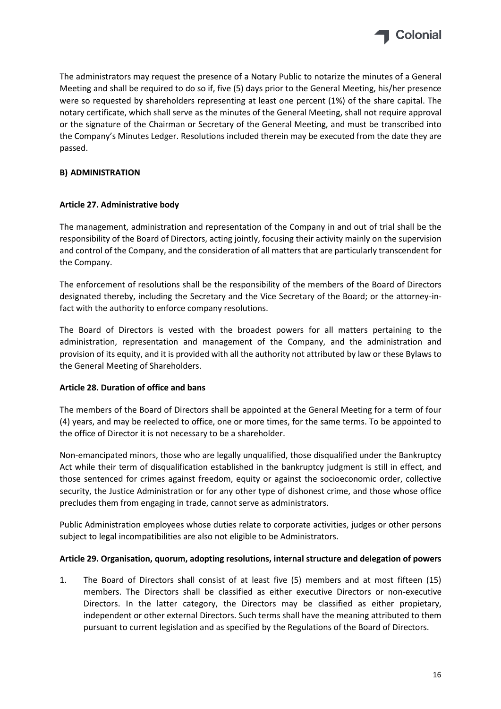

The administrators may request the presence of a Notary Public to notarize the minutes of a General Meeting and shall be required to do so if, five (5) days prior to the General Meeting, his/her presence were so requested by shareholders representing at least one percent (1%) of the share capital. The notary certificate, which shall serve as the minutes of the General Meeting, shall not require approval or the signature of the Chairman or Secretary of the General Meeting, and must be transcribed into the Company's Minutes Ledger. Resolutions included therein may be executed from the date they are passed.

# **B) ADMINISTRATION**

# <span id="page-30-0"></span>**Article 27. Administrative body**

The management, administration and representation of the Company in and out of trial shall be the responsibility of the Board of Directors, acting jointly, focusing their activity mainly on the supervision and control of the Company, and the consideration of all matters that are particularly transcendent for the Company.

The enforcement of resolutions shall be the responsibility of the members of the Board of Directors designated thereby, including the Secretary and the Vice Secretary of the Board; or the attorney-infact with the authority to enforce company resolutions.

The Board of Directors is vested with the broadest powers for all matters pertaining to the administration, representation and management of the Company, and the administration and provision of its equity, and it is provided with all the authority not attributed by law or these Bylaws to the General Meeting of Shareholders.

#### <span id="page-30-1"></span>**Article 28. Duration of office and bans**

The members of the Board of Directors shall be appointed at the General Meeting for a term of four (4) years, and may be reelected to office, one or more times, for the same terms. To be appointed to the office of Director it is not necessary to be a shareholder.

Non-emancipated minors, those who are legally unqualified, those disqualified under the Bankruptcy Act while their term of disqualification established in the bankruptcy judgment is still in effect, and those sentenced for crimes against freedom, equity or against the socioeconomic order, collective security, the Justice Administration or for any other type of dishonest crime, and those whose office precludes them from engaging in trade, cannot serve as administrators.

Public Administration employees whose duties relate to corporate activities, judges or other persons subject to legal incompatibilities are also not eligible to be Administrators.

#### <span id="page-30-2"></span>**Article 29. Organisation, quorum, adopting resolutions, internal structure and delegation of powers**

1. The Board of Directors shall consist of at least five (5) members and at most fifteen (15) members. The Directors shall be classified as either executive Directors or non-executive Directors. In the latter category, the Directors may be classified as either propietary, independent or other external Directors. Such terms shall have the meaning attributed to them pursuant to current legislation and as specified by the Regulations of the Board of Directors.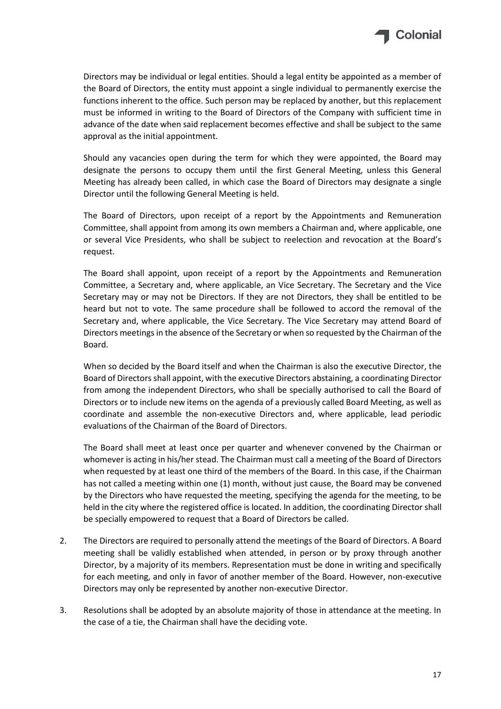

Directors may be individual or legal entities. Should a legal entity be appointed as a member of the Board of Directors, the entity must appoint a single individual to permanently exercise the functions inherent to the office. Such person may be replaced by another, but this replacement must be informed in writing to the Board of Directors of the Company with sufficient time in advance of the date when said replacement becomes effective and shall be subject to the same approval as the initial appointment.

Should any vacancies open during the term for which they were appointed, the Board may designate the persons to occupy them until the first General Meeting, unless this General Meeting has already been called, in which case the Board of Directors may designate a single Director until the following General Meeting is held.

The Board of Directors, upon receipt of a report by the Appointments and Remuneration Committee, shall appoint from among its own members a Chairman and, where applicable, one or several Vice Presidents, who shall be subject to reelection and revocation at the Board's request.

The Board shall appoint, upon receipt of a report by the Appointments and Remuneration Committee, a Secretary and, where applicable, an Vice Secretary. The Secretary and the Vice Secretary may or may not be Directors. If they are not Directors, they shall be entitled to be heard but not to vote. The same procedure shall be followed to accord the removal of the Secretary and, where applicable, the Vice Secretary. The Vice Secretary may attend Board of Directors meetings in the absence of the Secretary or when so requested by the Chairman of the Board.

When so decided by the Board itself and when the Chairman is also the executive Director, the Board of Directors shall appoint, with the executive Directors abstaining, a coordinating Director from among the independent Directors, who shall be specially authorised to call the Board of Directors or to include new items on the agenda of a previously called Board Meeting, as well as coordinate and assemble the non-executive Directors and, where applicable, lead periodic evaluations of the Chairman of the Board of Directors.

The Board shall meet at least once per quarter and whenever convened by the Chairman or whomever is acting in his/her stead. The Chairman must call a meeting of the Board of Directors when requested by at least one third of the members of the Board. In this case, if the Chairman has not called a meeting within one (1) month, without just cause, the Board may be convened by the Directors who have requested the meeting, specifying the agenda for the meeting, to be held in the city where the registered office is located. In addition, the coordinating Director shall be specially empowered to request that a Board of Directors be called.

- 2. The Directors are required to personally attend the meetings of the Board of Directors. A Board meeting shall be validly established when attended, in person or by proxy through another Director, by a majority of its members. Representation must be done in writing and specifically for each meeting, and only in favor of another member of the Board. However, non-executive Directors may only be represented by another non-executive Director.
- 3. Resolutions shall be adopted by an absolute majority of those in attendance at the meeting. In the case of a tie, the Chairman shall have the deciding vote.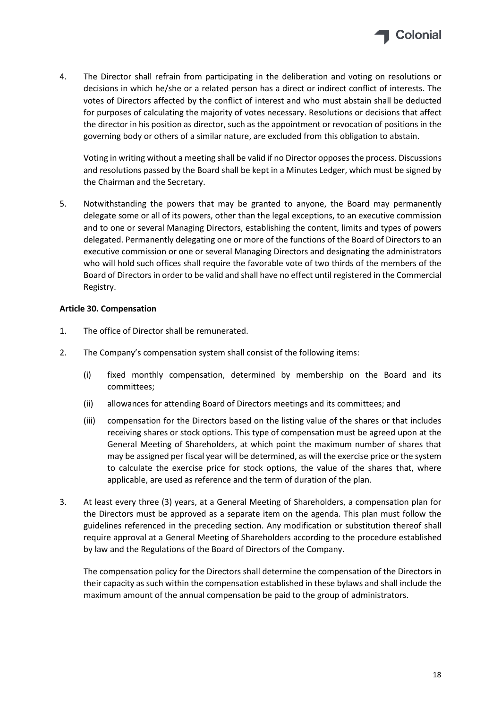

4. The Director shall refrain from participating in the deliberation and voting on resolutions or decisions in which he/she or a related person has a direct or indirect conflict of interests. The votes of Directors affected by the conflict of interest and who must abstain shall be deducted for purposes of calculating the majority of votes necessary. Resolutions or decisions that affect the director in his position as director, such as the appointment or revocation of positions in the governing body or others of a similar nature, are excluded from this obligation to abstain.

Voting in writing without a meeting shall be valid if no Director opposes the process. Discussions and resolutions passed by the Board shall be kept in a Minutes Ledger, which must be signed by the Chairman and the Secretary.

5. Notwithstanding the powers that may be granted to anyone, the Board may permanently delegate some or all of its powers, other than the legal exceptions, to an executive commission and to one or several Managing Directors, establishing the content, limits and types of powers delegated. Permanently delegating one or more of the functions of the Board of Directors to an executive commission or one or several Managing Directors and designating the administrators who will hold such offices shall require the favorable vote of two thirds of the members of the Board of Directors in order to be valid and shall have no effect until registered in the Commercial Registry.

# <span id="page-32-0"></span>**Article 30. Compensation**

- 1. The office of Director shall be remunerated.
- 2. The Company's compensation system shall consist of the following items:
	- (i) fixed monthly compensation, determined by membership on the Board and its committees;
	- (ii) allowances for attending Board of Directors meetings and its committees; and
	- (iii) compensation for the Directors based on the listing value of the shares or that includes receiving shares or stock options. This type of compensation must be agreed upon at the General Meeting of Shareholders, at which point the maximum number of shares that may be assigned per fiscal year will be determined, as will the exercise price or the system to calculate the exercise price for stock options, the value of the shares that, where applicable, are used as reference and the term of duration of the plan.
- 3. At least every three (3) years, at a General Meeting of Shareholders, a compensation plan for the Directors must be approved as a separate item on the agenda. This plan must follow the guidelines referenced in the preceding section. Any modification or substitution thereof shall require approval at a General Meeting of Shareholders according to the procedure established by law and the Regulations of the Board of Directors of the Company.

The compensation policy for the Directors shall determine the compensation of the Directors in their capacity as such within the compensation established in these bylaws and shall include the maximum amount of the annual compensation be paid to the group of administrators.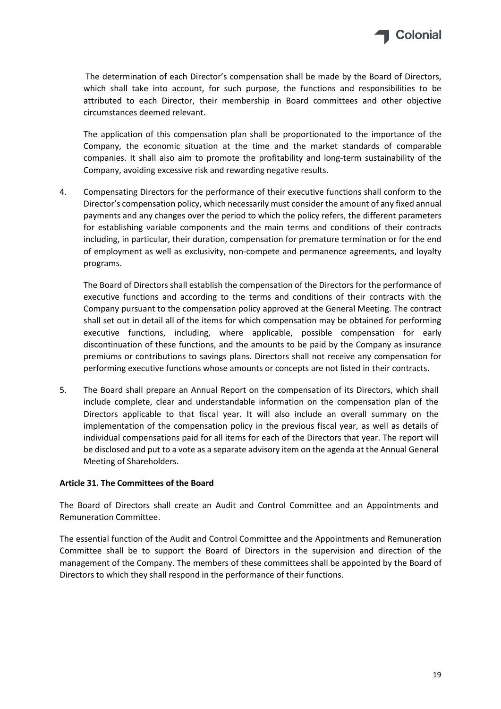

The determination of each Director's compensation shall be made by the Board of Directors, which shall take into account, for such purpose, the functions and responsibilities to be attributed to each Director, their membership in Board committees and other objective circumstances deemed relevant.

The application of this compensation plan shall be proportionated to the importance of the Company, the economic situation at the time and the market standards of comparable companies. It shall also aim to promote the profitability and long-term sustainability of the Company, avoiding excessive risk and rewarding negative results.

4. Compensating Directors for the performance of their executive functions shall conform to the Director's compensation policy, which necessarily must consider the amount of any fixed annual payments and any changes over the period to which the policy refers, the different parameters for establishing variable components and the main terms and conditions of their contracts including, in particular, their duration, compensation for premature termination or for the end of employment as well as exclusivity, non-compete and permanence agreements, and loyalty programs.

The Board of Directors shall establish the compensation of the Directors for the performance of executive functions and according to the terms and conditions of their contracts with the Company pursuant to the compensation policy approved at the General Meeting. The contract shall set out in detail all of the items for which compensation may be obtained for performing executive functions, including, where applicable, possible compensation for early discontinuation of these functions, and the amounts to be paid by the Company as insurance premiums or contributions to savings plans. Directors shall not receive any compensation for performing executive functions whose amounts or concepts are not listed in their contracts.

5. The Board shall prepare an Annual Report on the compensation of its Directors, which shall include complete, clear and understandable information on the compensation plan of the Directors applicable to that fiscal year. It will also include an overall summary on the implementation of the compensation policy in the previous fiscal year, as well as details of individual compensations paid for all items for each of the Directors that year. The report will be disclosed and put to a vote as a separate advisory item on the agenda at the Annual General Meeting of Shareholders.

#### <span id="page-33-0"></span>**Article 31. The Committees of the Board**

The Board of Directors shall create an Audit and Control Committee and an Appointments and Remuneration Committee.

The essential function of the Audit and Control Committee and the Appointments and Remuneration Committee shall be to support the Board of Directors in the supervision and direction of the management of the Company. The members of these committees shall be appointed by the Board of Directors to which they shall respond in the performance of their functions.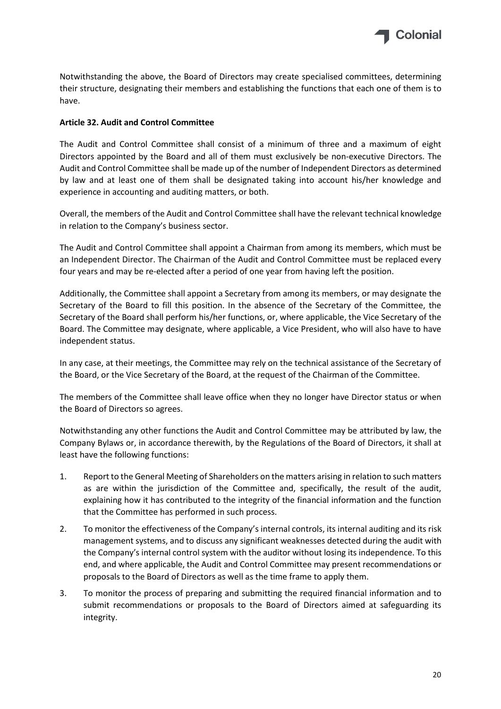

Notwithstanding the above, the Board of Directors may create specialised committees, determining their structure, designating their members and establishing the functions that each one of them is to have.

## <span id="page-34-0"></span>**Article 32. Audit and Control Committee**

The Audit and Control Committee shall consist of a minimum of three and a maximum of eight Directors appointed by the Board and all of them must exclusively be non-executive Directors. The Audit and Control Committee shall be made up of the number of Independent Directors as determined by law and at least one of them shall be designated taking into account his/her knowledge and experience in accounting and auditing matters, or both.

Overall, the members of the Audit and Control Committee shall have the relevant technical knowledge in relation to the Company's business sector.

The Audit and Control Committee shall appoint a Chairman from among its members, which must be an Independent Director. The Chairman of the Audit and Control Committee must be replaced every four years and may be re-elected after a period of one year from having left the position.

Additionally, the Committee shall appoint a Secretary from among its members, or may designate the Secretary of the Board to fill this position. In the absence of the Secretary of the Committee, the Secretary of the Board shall perform his/her functions, or, where applicable, the Vice Secretary of the Board. The Committee may designate, where applicable, a Vice President, who will also have to have independent status.

In any case, at their meetings, the Committee may rely on the technical assistance of the Secretary of the Board, or the Vice Secretary of the Board, at the request of the Chairman of the Committee.

The members of the Committee shall leave office when they no longer have Director status or when the Board of Directors so agrees.

Notwithstanding any other functions the Audit and Control Committee may be attributed by law, the Company Bylaws or, in accordance therewith, by the Regulations of the Board of Directors, it shall at least have the following functions:

- 1. Report to the General Meeting of Shareholders on the matters arising in relation to such matters as are within the jurisdiction of the Committee and, specifically, the result of the audit, explaining how it has contributed to the integrity of the financial information and the function that the Committee has performed in such process.
- 2. To monitor the effectiveness of the Company's internal controls, its internal auditing and its risk management systems, and to discuss any significant weaknesses detected during the audit with the Company's internal control system with the auditor without losing its independence. To this end, and where applicable, the Audit and Control Committee may present recommendations or proposals to the Board of Directors as well as the time frame to apply them.
- 3. To monitor the process of preparing and submitting the required financial information and to submit recommendations or proposals to the Board of Directors aimed at safeguarding its integrity.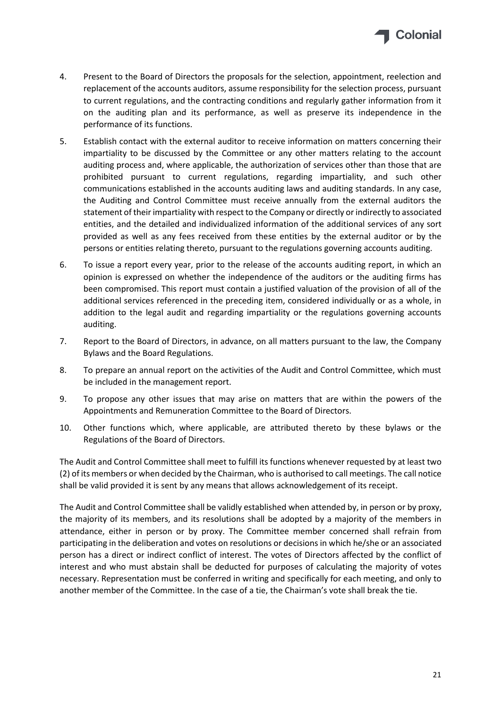

- 4. Present to the Board of Directors the proposals for the selection, appointment, reelection and replacement of the accounts auditors, assume responsibility for the selection process, pursuant to current regulations, and the contracting conditions and regularly gather information from it on the auditing plan and its performance, as well as preserve its independence in the performance of its functions.
- 5. Establish contact with the external auditor to receive information on matters concerning their impartiality to be discussed by the Committee or any other matters relating to the account auditing process and, where applicable, the authorization of services other than those that are prohibited pursuant to current regulations, regarding impartiality, and such other communications established in the accounts auditing laws and auditing standards. In any case, the Auditing and Control Committee must receive annually from the external auditors the statement of their impartiality with respect to the Company or directly or indirectly to associated entities, and the detailed and individualized information of the additional services of any sort provided as well as any fees received from these entities by the external auditor or by the persons or entities relating thereto, pursuant to the regulations governing accounts auditing.
- 6. To issue a report every year, prior to the release of the accounts auditing report, in which an opinion is expressed on whether the independence of the auditors or the auditing firms has been compromised. This report must contain a justified valuation of the provision of all of the additional services referenced in the preceding item, considered individually or as a whole, in addition to the legal audit and regarding impartiality or the regulations governing accounts auditing.
- 7. Report to the Board of Directors, in advance, on all matters pursuant to the law, the Company Bylaws and the Board Regulations.
- 8. To prepare an annual report on the activities of the Audit and Control Committee, which must be included in the management report.
- 9. To propose any other issues that may arise on matters that are within the powers of the Appointments and Remuneration Committee to the Board of Directors.
- 10. Other functions which, where applicable, are attributed thereto by these bylaws or the Regulations of the Board of Directors.

The Audit and Control Committee shall meet to fulfill its functions whenever requested by at least two (2) of its members or when decided by the Chairman, who is authorised to call meetings. The call notice shall be valid provided it is sent by any means that allows acknowledgement of its receipt.

The Audit and Control Committee shall be validly established when attended by, in person or by proxy, the majority of its members, and its resolutions shall be adopted by a majority of the members in attendance, either in person or by proxy. The Committee member concerned shall refrain from participating in the deliberation and votes on resolutions or decisions in which he/she or an associated person has a direct or indirect conflict of interest. The votes of Directors affected by the conflict of interest and who must abstain shall be deducted for purposes of calculating the majority of votes necessary. Representation must be conferred in writing and specifically for each meeting, and only to another member of the Committee. In the case of a tie, the Chairman's vote shall break the tie.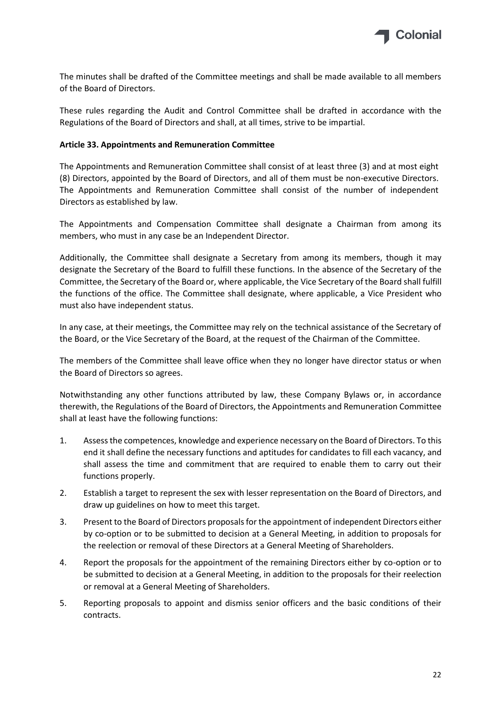

The minutes shall be drafted of the Committee meetings and shall be made available to all members of the Board of Directors.

These rules regarding the Audit and Control Committee shall be drafted in accordance with the Regulations of the Board of Directors and shall, at all times, strive to be impartial.

#### <span id="page-36-0"></span>**Article 33. Appointments and Remuneration Committee**

The Appointments and Remuneration Committee shall consist of at least three (3) and at most eight (8) Directors, appointed by the Board of Directors, and all of them must be non-executive Directors. The Appointments and Remuneration Committee shall consist of the number of independent Directors as established by law.

The Appointments and Compensation Committee shall designate a Chairman from among its members, who must in any case be an Independent Director.

Additionally, the Committee shall designate a Secretary from among its members, though it may designate the Secretary of the Board to fulfill these functions. In the absence of the Secretary of the Committee, the Secretary of the Board or, where applicable, the Vice Secretary of the Board shall fulfill the functions of the office. The Committee shall designate, where applicable, a Vice President who must also have independent status.

In any case, at their meetings, the Committee may rely on the technical assistance of the Secretary of the Board, or the Vice Secretary of the Board, at the request of the Chairman of the Committee.

The members of the Committee shall leave office when they no longer have director status or when the Board of Directors so agrees.

Notwithstanding any other functions attributed by law, these Company Bylaws or, in accordance therewith, the Regulations of the Board of Directors, the Appointments and Remuneration Committee shall at least have the following functions:

- 1. Assess the competences, knowledge and experience necessary on the Board of Directors. To this end it shall define the necessary functions and aptitudes for candidates to fill each vacancy, and shall assess the time and commitment that are required to enable them to carry out their functions properly.
- 2. Establish a target to represent the sex with lesser representation on the Board of Directors, and draw up guidelines on how to meet this target.
- 3. Present to the Board of Directors proposals for the appointment of independent Directors either by co-option or to be submitted to decision at a General Meeting, in addition to proposals for the reelection or removal of these Directors at a General Meeting of Shareholders.
- 4. Report the proposals for the appointment of the remaining Directors either by co-option or to be submitted to decision at a General Meeting, in addition to the proposals for their reelection or removal at a General Meeting of Shareholders.
- 5. Reporting proposals to appoint and dismiss senior officers and the basic conditions of their contracts.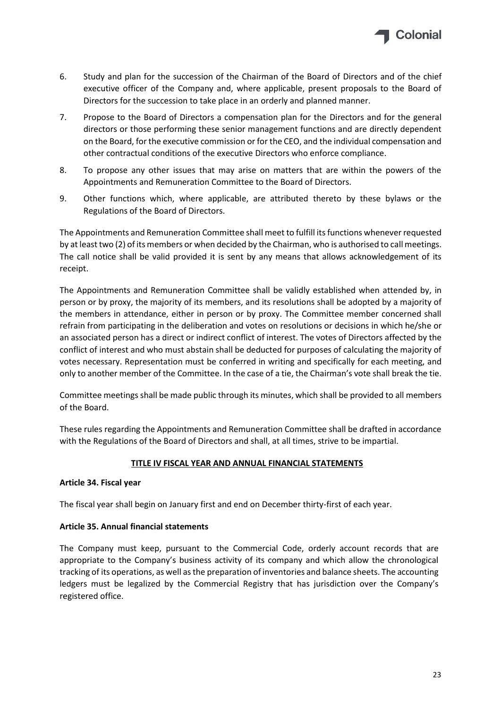

- 6. Study and plan for the succession of the Chairman of the Board of Directors and of the chief executive officer of the Company and, where applicable, present proposals to the Board of Directors for the succession to take place in an orderly and planned manner.
- 7. Propose to the Board of Directors a compensation plan for the Directors and for the general directors or those performing these senior management functions and are directly dependent on the Board, for the executive commission or for the CEO, and the individual compensation and other contractual conditions of the executive Directors who enforce compliance.
- 8. To propose any other issues that may arise on matters that are within the powers of the Appointments and Remuneration Committee to the Board of Directors.
- 9. Other functions which, where applicable, are attributed thereto by these bylaws or the Regulations of the Board of Directors.

The Appointments and Remuneration Committee shall meet to fulfill its functions whenever requested by at least two (2) of its members or when decided by the Chairman, who is authorised to call meetings. The call notice shall be valid provided it is sent by any means that allows acknowledgement of its receipt.

The Appointments and Remuneration Committee shall be validly established when attended by, in person or by proxy, the majority of its members, and its resolutions shall be adopted by a majority of the members in attendance, either in person or by proxy. The Committee member concerned shall refrain from participating in the deliberation and votes on resolutions or decisions in which he/she or an associated person has a direct or indirect conflict of interest. The votes of Directors affected by the conflict of interest and who must abstain shall be deducted for purposes of calculating the majority of votes necessary. Representation must be conferred in writing and specifically for each meeting, and only to another member of the Committee. In the case of a tie, the Chairman's vote shall break the tie.

Committee meetings shall be made public through its minutes, which shall be provided to all members of the Board.

These rules regarding the Appointments and Remuneration Committee shall be drafted in accordance with the Regulations of the Board of Directors and shall, at all times, strive to be impartial.

# **TITLE IV FISCAL YEAR AND ANNUAL FINANCIAL STATEMENTS**

#### <span id="page-37-1"></span><span id="page-37-0"></span>**Article 34. Fiscal year**

The fiscal year shall begin on January first and end on December thirty-first of each year.

#### <span id="page-37-2"></span>**Article 35. Annual financial statements**

The Company must keep, pursuant to the Commercial Code, orderly account records that are appropriate to the Company's business activity of its company and which allow the chronological tracking of its operations, as well as the preparation of inventories and balance sheets. The accounting ledgers must be legalized by the Commercial Registry that has jurisdiction over the Company's registered office.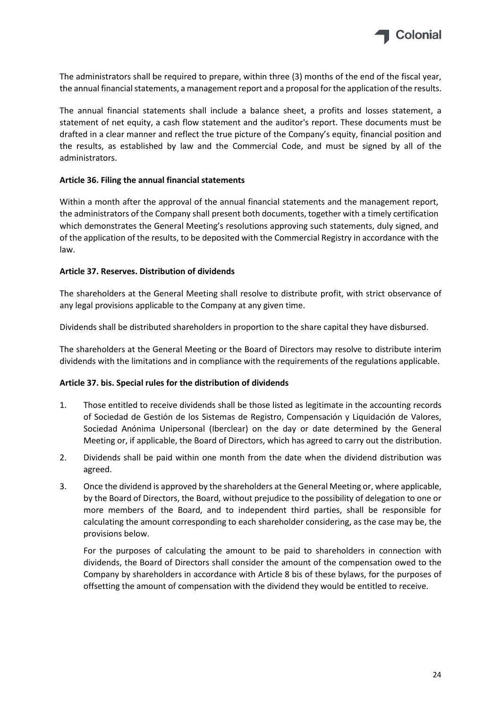

The administrators shall be required to prepare, within three (3) months of the end of the fiscal year, the annual financial statements, a management report and a proposal for the application of the results.

The annual financial statements shall include a balance sheet, a profits and losses statement, a statement of net equity, a cash flow statement and the auditor's report. These documents must be drafted in a clear manner and reflect the true picture of the Company's equity, financial position and the results, as established by law and the Commercial Code, and must be signed by all of the administrators.

#### <span id="page-38-0"></span>**Article 36. Filing the annual financial statements**

Within a month after the approval of the annual financial statements and the management report, the administrators of the Company shall present both documents, together with a timely certification which demonstrates the General Meeting's resolutions approving such statements, duly signed, and of the application of the results, to be deposited with the Commercial Registry in accordance with the law.

#### <span id="page-38-1"></span>**Article 37. Reserves. Distribution of dividends**

The shareholders at the General Meeting shall resolve to distribute profit, with strict observance of any legal provisions applicable to the Company at any given time.

Dividends shall be distributed shareholders in proportion to the share capital they have disbursed.

The shareholders at the General Meeting or the Board of Directors may resolve to distribute interim dividends with the limitations and in compliance with the requirements of the regulations applicable.

#### <span id="page-38-2"></span>**Article 37. bis. Special rules for the distribution of dividends**

- 1. Those entitled to receive dividends shall be those listed as legitimate in the accounting records of Sociedad de Gestión de los Sistemas de Registro, Compensación y Liquidación de Valores, Sociedad Anónima Unipersonal (Iberclear) on the day or date determined by the General Meeting or, if applicable, the Board of Directors, which has agreed to carry out the distribution.
- 2. Dividends shall be paid within one month from the date when the dividend distribution was agreed.
- 3. Once the dividend is approved by the shareholders at the General Meeting or, where applicable, by the Board of Directors, the Board, without prejudice to the possibility of delegation to one or more members of the Board, and to independent third parties, shall be responsible for calculating the amount corresponding to each shareholder considering, as the case may be, the provisions below.

For the purposes of calculating the amount to be paid to shareholders in connection with dividends, the Board of Directors shall consider the amount of the compensation owed to the Company by shareholders in accordance with Article 8 bis of these bylaws, for the purposes of offsetting the amount of compensation with the dividend they would be entitled to receive.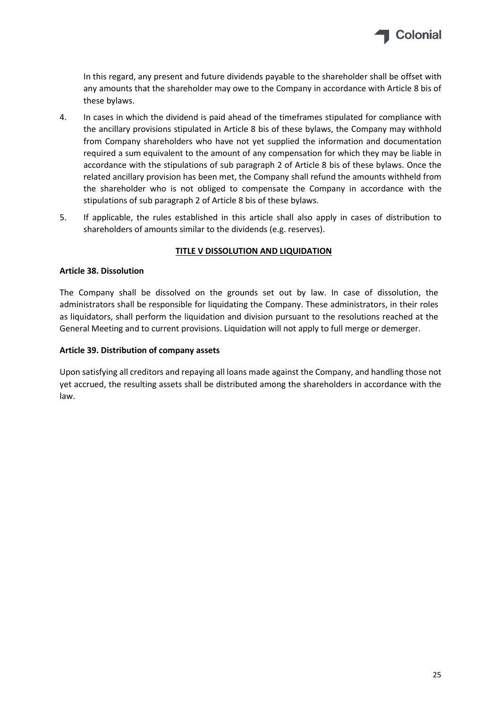

In this regard, any present and future dividends payable to the shareholder shall be offset with any amounts that the shareholder may owe to the Company in accordance with Article 8 bis of these bylaws.

- 4. In cases in which the dividend is paid ahead of the timeframes stipulated for compliance with the ancillary provisions stipulated in Article 8 bis of these bylaws, the Company may withhold from Company shareholders who have not yet supplied the information and documentation required a sum equivalent to the amount of any compensation for which they may be liable in accordance with the stipulations of sub paragraph 2 of Article 8 bis of these bylaws. Once the related ancillary provision has been met, the Company shall refund the amounts withheld from the shareholder who is not obliged to compensate the Company in accordance with the stipulations of sub paragraph 2 of Article 8 bis of these bylaws.
- 5. If applicable, the rules established in this article shall also apply in cases of distribution to shareholders of amounts similar to the dividends (e.g. reserves).

#### **TITLE V DISSOLUTION AND LIQUIDATION**

#### <span id="page-39-1"></span><span id="page-39-0"></span>**Article 38. Dissolution**

The Company shall be dissolved on the grounds set out by law. In case of dissolution, the administrators shall be responsible for liquidating the Company. These administrators, in their roles as liquidators, shall perform the liquidation and division pursuant to the resolutions reached at the General Meeting and to current provisions. Liquidation will not apply to full merge or demerger.

#### <span id="page-39-2"></span>**Article 39. Distribution of company assets**

Upon satisfying all creditors and repaying all loans made against the Company, and handling those not yet accrued, the resulting assets shall be distributed among the shareholders in accordance with the law.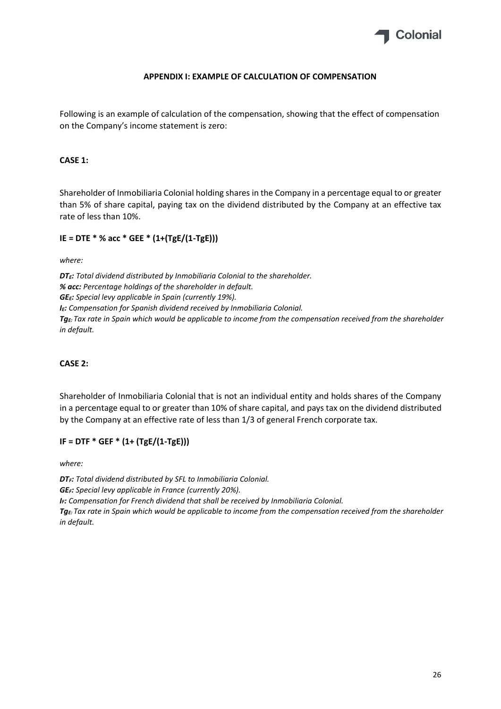

#### **APPENDIX I: EXAMPLE OF CALCULATION OF COMPENSATION**

Following is an example of calculation of the compensation, showing that the effect of compensation on the Company's income statement is zero:

#### **CASE 1:**

Shareholder of Inmobiliaria Colonial holding shares in the Company in a percentage equal to or greater than 5% of share capital, paying tax on the dividend distributed by the Company at an effective tax rate of less than 10%.

#### **IE = DTE \* % acc \* GEE \* (1+(TgE/(1-TgE)))**

*where:*

*DTE: Total dividend distributed by Inmobiliaria Colonial to the shareholder. % acc: Percentage holdings of the shareholder in default. GEE: Special levy applicable in Spain (currently 19%). IE: Compensation for Spanish dividend received by Inmobiliaria Colonial. TgE: Tax rate in Spain which would be applicable to income from the compensation received from the shareholder in default.*

#### **CASE 2:**

Shareholder of Inmobiliaria Colonial that is not an individual entity and holds shares of the Company in a percentage equal to or greater than 10% of share capital, and pays tax on the dividend distributed by the Company at an effective rate of less than 1/3 of general French corporate tax.

#### **IF = DTF \* GEF \* (1+ (TgE/(1-TgE)))**

*where:*

*DTF: Total dividend distributed by SFL to Inmobiliaria Colonial. GEF: Special levy applicable in France (currently 20%). IF: Compensation for French dividend that shall be received by Inmobiliaria Colonial. TgE: Tax rate in Spain which would be applicable to income from the compensation received from the shareholder in default.*